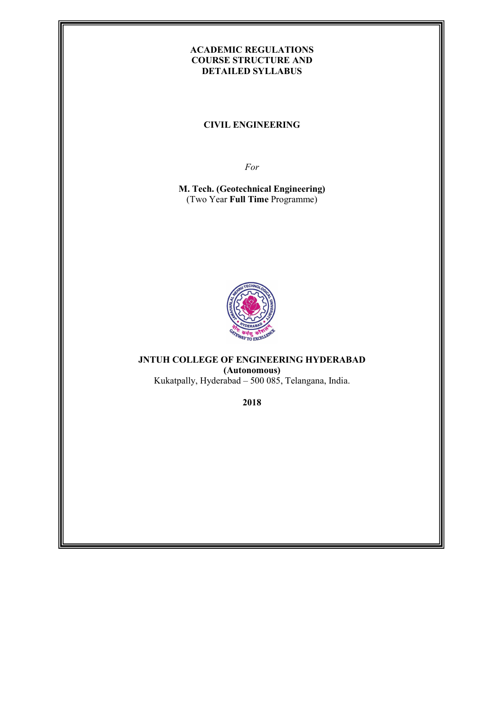### ACADEMIC REGULATIONS COURSE STRUCTURE AND DETAILED SYLLABUS

CIVIL ENGINEERING

For

M. Tech. (Geotechnical Engineering) (Two Year Full Time Programme)



JNTUH COLLEGE OF ENGINEERING HYDERABAD (Autonomous)

Kukatpally, Hyderabad – 500 085, Telangana, India.

2018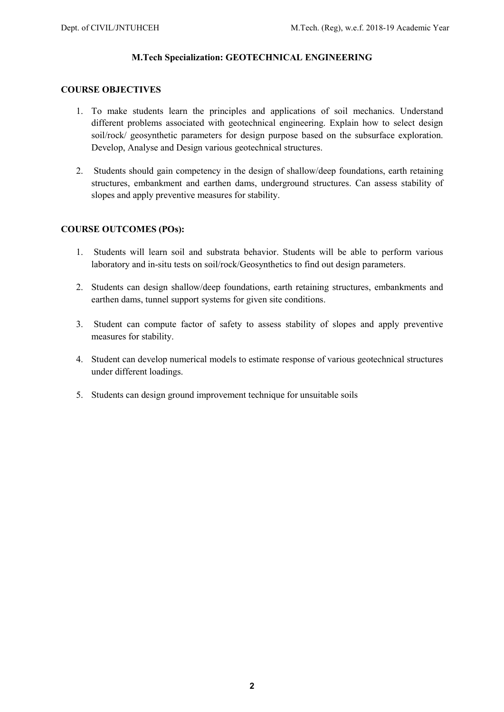### M.Tech Specialization: GEOTECHNICAL ENGINEERING

### COURSE OBJECTIVES

- 1. To make students learn the principles and applications of soil mechanics. Understand different problems associated with geotechnical engineering. Explain how to select design soil/rock/ geosynthetic parameters for design purpose based on the subsurface exploration. Develop, Analyse and Design various geotechnical structures.
- 2. Students should gain competency in the design of shallow/deep foundations, earth retaining structures, embankment and earthen dams, underground structures. Can assess stability of slopes and apply preventive measures for stability.

### COURSE OUTCOMES (POs):

- 1. Students will learn soil and substrata behavior. Students will be able to perform various laboratory and in-situ tests on soil/rock/Geosynthetics to find out design parameters.
- 2. Students can design shallow/deep foundations, earth retaining structures, embankments and earthen dams, tunnel support systems for given site conditions.
- 3. Student can compute factor of safety to assess stability of slopes and apply preventive measures for stability.
- 4. Student can develop numerical models to estimate response of various geotechnical structures under different loadings.
- 5. Students can design ground improvement technique for unsuitable soils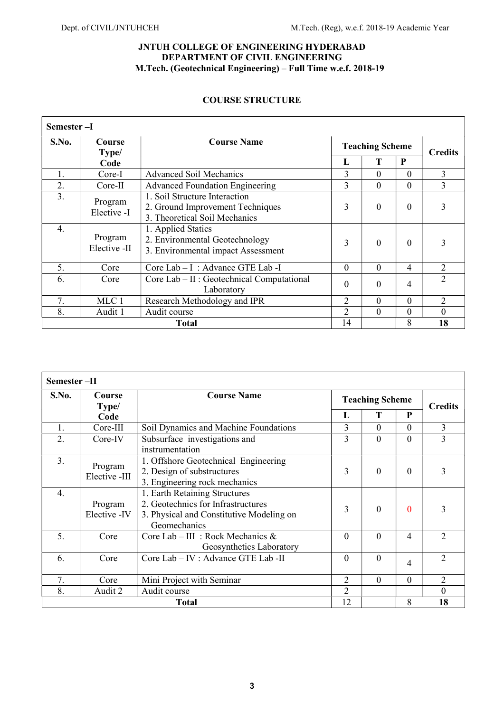### JNTUH COLLEGE OF ENGINEERING HYDERABAD DEPARTMENT OF CIVIL ENGINEERING M.Tech. (Geotechnical Engineering) – Full Time w.e.f. 2018-19

### COURSE STRUCTURE

|       | Semester-I              |                                                                                                    |                        |                |                |                |  |  |  |
|-------|-------------------------|----------------------------------------------------------------------------------------------------|------------------------|----------------|----------------|----------------|--|--|--|
| S.No. | Course<br>Type/         | <b>Course Name</b>                                                                                 | <b>Teaching Scheme</b> |                |                |                |  |  |  |
|       | Code                    |                                                                                                    | L                      | Т              | P              | <b>Credits</b> |  |  |  |
| 1.    | Core-I                  | <b>Advanced Soil Mechanics</b>                                                                     | 3                      | $\Omega$       | $\Omega$       | 3              |  |  |  |
| 2.    | Core-II                 | <b>Advanced Foundation Engineering</b>                                                             | 3                      | $\overline{0}$ | $\theta$       | 3              |  |  |  |
| 3.    | Program<br>Elective -I  | 1. Soil Structure Interaction<br>2. Ground Improvement Techniques<br>3. Theoretical Soil Mechanics | 3                      | $\theta$       | $\Omega$       | 3              |  |  |  |
| 4.    | Program<br>Elective -II | 1. Applied Statics<br>2. Environmental Geotechnology<br>3. Environmental impact Assessment         | 3                      | $\Omega$       | $\Omega$       | 3              |  |  |  |
| 5.    | Core                    | Core Lab - I : Advance GTE Lab - I                                                                 | $\Omega$               | $\Omega$       | $\overline{4}$ | 2              |  |  |  |
| 6.    | Core                    | Core Lab – II : Geotechnical Computational<br>Laboratory                                           | $\Omega$               | $\theta$       | 4              | $\overline{2}$ |  |  |  |
| 7.    | MLC 1                   | Research Methodology and IPR                                                                       | 2                      | $\Omega$       | $\Omega$       | $\overline{2}$ |  |  |  |
| 8.    | Audit 1                 | Audit course                                                                                       | $\overline{2}$         | $\theta$       | $\Omega$       | $\Omega$       |  |  |  |
|       | <b>Total</b>            |                                                                                                    |                        |                | 8              | 18             |  |  |  |

| Semester-II |                          |                                                                                                                                 |                |                        |                |                |  |
|-------------|--------------------------|---------------------------------------------------------------------------------------------------------------------------------|----------------|------------------------|----------------|----------------|--|
| S.No.       | Course<br>Type/          | <b>Course Name</b>                                                                                                              |                | <b>Teaching Scheme</b> | <b>Credits</b> |                |  |
| Code        |                          |                                                                                                                                 | L              | T                      | P              |                |  |
| 1.          | $Core-III$               | Soil Dynamics and Machine Foundations                                                                                           | 3              | $\theta$               | $\Omega$       | 3              |  |
| 2.          | Core-IV                  | Subsurface investigations and<br>instrumentation                                                                                | 3              | $\theta$               | $\theta$       | 3              |  |
| 3.          | Program<br>Elective -III | 1. Offshore Geotechnical Engineering<br>2. Design of substructures<br>3. Engineering rock mechanics                             | 3              | $\overline{0}$         | $\Omega$       | 3              |  |
| 4.          | Program<br>Elective -IV  | 1. Earth Retaining Structures<br>2. Geotechnics for Infrastructures<br>3. Physical and Constitutive Modeling on<br>Geomechanics | 3              | $\Omega$               | $\Omega$       | 3              |  |
| 5.          | Core                     | Core Lab - III : Rock Mechanics &<br>Geosynthetics Laboratory                                                                   | $\mathbf{0}$   | $\theta$               | 4              | $\overline{2}$ |  |
| 6.          | Core                     | Core Lab - IV : Advance GTE Lab - II                                                                                            | $\mathbf{0}$   | $\overline{0}$         | 4              | $\overline{2}$ |  |
| 7.          | Core                     | Mini Project with Seminar                                                                                                       | $\overline{2}$ | $\overline{0}$         | $\mathbf{0}$   | 2              |  |
| 8.          | Audit 2                  | Audit course                                                                                                                    | $\overline{2}$ |                        |                | $\theta$       |  |
|             | <b>Total</b>             |                                                                                                                                 |                |                        | 8              | 18             |  |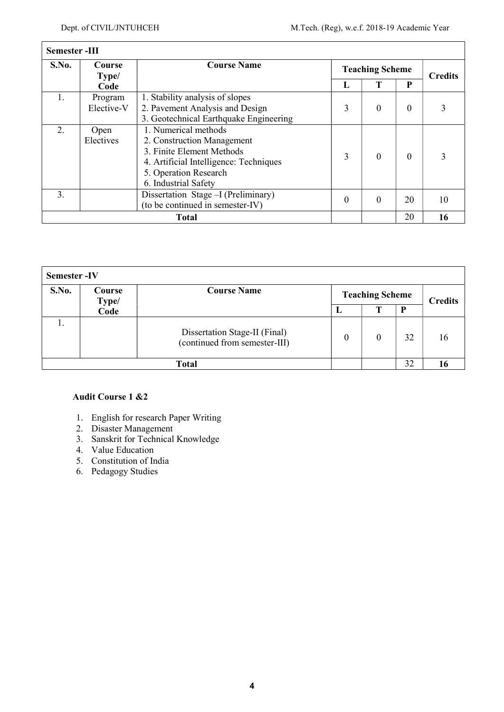$\Gamma$ 

٦

| <b>Semester-III</b> |                 |                                        |          |                        |                |    |  |  |  |
|---------------------|-----------------|----------------------------------------|----------|------------------------|----------------|----|--|--|--|
| S.No.               | Course<br>Type/ | <b>Course Name</b>                     |          | <b>Teaching Scheme</b> | <b>Credits</b> |    |  |  |  |
|                     | Code            |                                        | L        | Т                      | P              |    |  |  |  |
| 1.                  | Program         | 1. Stability analysis of slopes        |          |                        |                |    |  |  |  |
|                     | Elective-V      | 2. Pavement Analysis and Design        | 3        | $\theta$               | $\Omega$       |    |  |  |  |
|                     |                 | 3. Geotechnical Earthquake Engineering |          |                        |                |    |  |  |  |
| 2.                  | Open            | 1. Numerical methods                   |          |                        |                |    |  |  |  |
|                     | Electives       | 2. Construction Management             |          |                        |                |    |  |  |  |
|                     |                 | 3. Finite Element Methods              | 3        | $\Omega$               | $\Omega$       |    |  |  |  |
|                     |                 | 4. Artificial Intelligence: Techniques |          |                        |                |    |  |  |  |
|                     |                 | 5. Operation Research                  |          |                        |                |    |  |  |  |
|                     |                 | 6. Industrial Safety                   |          |                        |                |    |  |  |  |
| 3.                  |                 | Dissertation Stage - I (Preliminary)   | $\theta$ | $\theta$               | 20             | 10 |  |  |  |
|                     |                 | (to be continued in semester-IV)       |          |                        |                |    |  |  |  |
|                     | <b>Total</b>    |                                        |          |                        | 20             | 16 |  |  |  |

| <b>Semester-IV</b> |                 |                                                                |          |                        |    |                |  |
|--------------------|-----------------|----------------------------------------------------------------|----------|------------------------|----|----------------|--|
| S.No.              | Course<br>Type/ | <b>Course Name</b>                                             |          | <b>Teaching Scheme</b> |    |                |  |
|                    | Code            |                                                                | ш        | т                      | P  | <b>Credits</b> |  |
|                    |                 | Dissertation Stage-II (Final)<br>(continued from semester-III) | $\theta$ | 0                      | 32 | 16             |  |
|                    |                 | <b>Total</b>                                                   |          |                        | 32 |                |  |

### Audit Course 1 &2

- 1. English for research Paper Writing
- 2. Disaster Management
- 3. Sanskrit for Technical Knowledge
- 4. Value Education
- 5. Constitution of India
- 6. Pedagogy Studies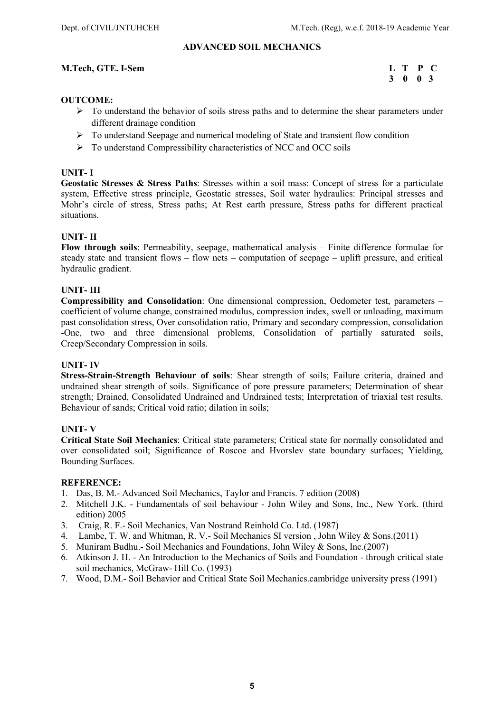### ADVANCED SOIL MECHANICS

### M.Tech, GTE. I-Sem L T P C

# 3 0 0 3

### OUTCOME:

- $\triangleright$  To understand the behavior of soils stress paths and to determine the shear parameters under different drainage condition
- $\triangleright$  To understand Seepage and numerical modeling of State and transient flow condition
- $\triangleright$  To understand Compressibility characteristics of NCC and OCC soils

### UNIT- I

Geostatic Stresses & Stress Paths: Stresses within a soil mass: Concept of stress for a particulate system, Effective stress principle, Geostatic stresses, Soil water hydraulics: Principal stresses and Mohr's circle of stress, Stress paths; At Rest earth pressure, Stress paths for different practical situations.

### UNIT- II

Flow through soils: Permeability, seepage, mathematical analysis – Finite difference formulae for steady state and transient flows – flow nets – computation of seepage – uplift pressure, and critical hydraulic gradient.

### UNIT- III

Compressibility and Consolidation: One dimensional compression, Oedometer test, parameters – coefficient of volume change, constrained modulus, compression index, swell or unloading, maximum past consolidation stress, Over consolidation ratio, Primary and secondary compression, consolidation -One, two and three dimensional problems, Consolidation of partially saturated soils, Creep/Secondary Compression in soils.

### UNIT- IV

Stress-Strain-Strength Behaviour of soils: Shear strength of soils; Failure criteria, drained and undrained shear strength of soils. Significance of pore pressure parameters; Determination of shear strength; Drained, Consolidated Undrained and Undrained tests; Interpretation of triaxial test results. Behaviour of sands; Critical void ratio; dilation in soils;

### UNIT- V

Critical State Soil Mechanics: Critical state parameters; Critical state for normally consolidated and over consolidated soil; Significance of Roscoe and Hvorslev state boundary surfaces; Yielding, Bounding Surfaces.

- 1. Das, B. M.- Advanced Soil Mechanics, Taylor and Francis. 7 edition (2008)
- 2. Mitchell J.K. Fundamentals of soil behaviour John Wiley and Sons, Inc., New York. (third edition) 2005
- 3. Craig, R. F.- Soil Mechanics, Van Nostrand Reinhold Co. Ltd. (1987)
- 4. Lambe, T. W. and Whitman, R. V.- Soil Mechanics SI version , John Wiley & Sons.(2011)
- 5. Muniram Budhu.- Soil Mechanics and Foundations, John Wiley & Sons, Inc.(2007)
- 6. Atkinson J. H. An Introduction to the Mechanics of Soils and Foundation through critical state soil mechanics, McGraw- Hill Co. (1993)
- 7. Wood, D.M.- Soil Behavior and Critical State Soil Mechanics.cambridge university press (1991)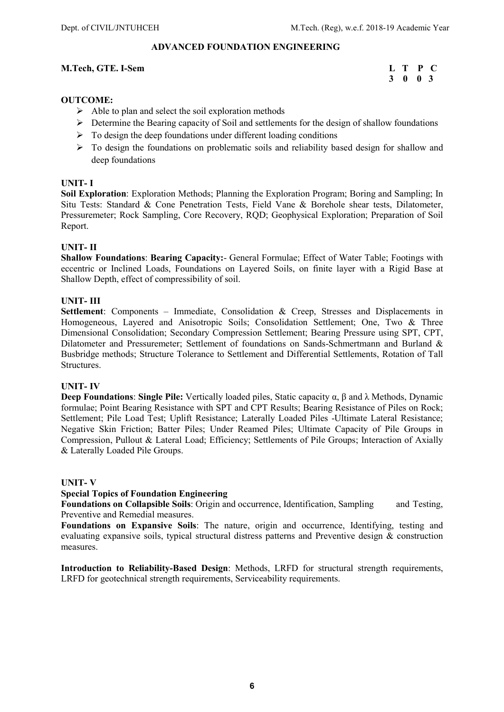### ADVANCED FOUNDATION ENGINEERING

### M.Tech, GTE. I-Sem L T P C

# 3 0 0 3

### OUTCOME:

- $\triangleright$  Able to plan and select the soil exploration methods
- Determine the Bearing capacity of Soil and settlements for the design of shallow foundations
- $\triangleright$  To design the deep foundations under different loading conditions
- To design the foundations on problematic soils and reliability based design for shallow and deep foundations

### UNIT- I

Soil Exploration: Exploration Methods; Planning the Exploration Program; Boring and Sampling; In Situ Tests: Standard & Cone Penetration Tests, Field Vane & Borehole shear tests, Dilatometer, Pressuremeter; Rock Sampling, Core Recovery, RQD; Geophysical Exploration; Preparation of Soil Report.

### UNIT- II

Shallow Foundations: Bearing Capacity:- General Formulae; Effect of Water Table; Footings with eccentric or Inclined Loads, Foundations on Layered Soils, on finite layer with a Rigid Base at Shallow Depth, effect of compressibility of soil.

### UNIT- III

Settlement: Components – Immediate, Consolidation & Creep, Stresses and Displacements in Homogeneous, Layered and Anisotropic Soils; Consolidation Settlement; One, Two & Three Dimensional Consolidation; Secondary Compression Settlement; Bearing Pressure using SPT, CPT, Dilatometer and Pressuremeter; Settlement of foundations on Sands-Schmertmann and Burland & Busbridge methods; Structure Tolerance to Settlement and Differential Settlements, Rotation of Tall Structures.

### UNIT- IV

**Deep Foundations: Single Pile:** Vertically loaded piles, Static capacity  $\alpha$ , β and λ Methods, Dynamic formulae; Point Bearing Resistance with SPT and CPT Results; Bearing Resistance of Piles on Rock; Settlement; Pile Load Test; Uplift Resistance; Laterally Loaded Piles -Ultimate Lateral Resistance; Negative Skin Friction; Batter Piles; Under Reamed Piles; Ultimate Capacity of Pile Groups in Compression, Pullout & Lateral Load; Efficiency; Settlements of Pile Groups; Interaction of Axially & Laterally Loaded Pile Groups.

### UNIT- V

### Special Topics of Foundation Engineering

Foundations on Collapsible Soils: Origin and occurrence, Identification, Sampling and Testing, Preventive and Remedial measures.

Foundations on Expansive Soils: The nature, origin and occurrence, Identifying, testing and evaluating expansive soils, typical structural distress patterns and Preventive design & construction measures.

Introduction to Reliability-Based Design: Methods, LRFD for structural strength requirements, LRFD for geotechnical strength requirements, Serviceability requirements.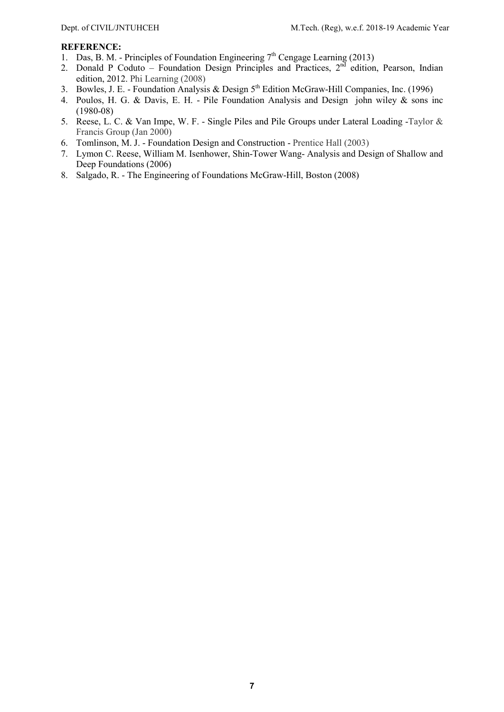- 1. Das, B. M. Principles of Foundation Engineering 7<sup>th</sup> Cengage Learning (2013)
- 2. Donald P Coduto Foundation Design Principles and Practices,  $2<sup>nd</sup>$  edition, Pearson, Indian edition, 2012. Phi Learning (2008)
- 3. Bowles, J. E. Foundation Analysis & Design  $5<sup>th</sup>$  Edition McGraw-Hill Companies, Inc. (1996)
- 4. Poulos, H. G. & Davis, E. H. Pile Foundation Analysis and Design john wiley & sons inc (1980-08)
- 5. Reese, L. C. & Van Impe, W. F. Single Piles and Pile Groups under Lateral Loading -Taylor & Francis Group (Jan 2000)
- 6. Tomlinson, M. J. Foundation Design and Construction Prentice Hall (2003)
- 7. Lymon C. Reese, William M. Isenhower, Shin-Tower Wang- Analysis and Design of Shallow and Deep Foundations (2006)
- 8. Salgado, R. The Engineering of Foundations McGraw-Hill, Boston (2008)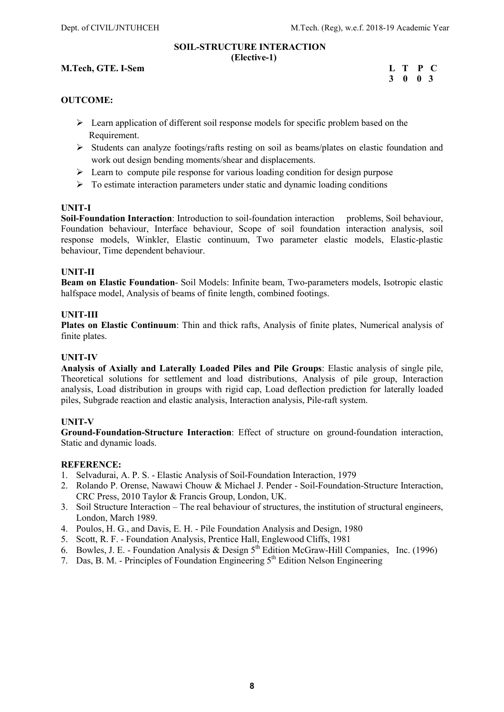### SOIL-STRUCTURE INTERACTION (Elective-1)

### M.Tech, GTE. I-Sem L T P C

## 3 0 0 3

### OUTCOME:

- $\triangleright$  Learn application of different soil response models for specific problem based on the Requirement.
- $\triangleright$  Students can analyze footings/rafts resting on soil as beams/plates on elastic foundation and work out design bending moments/shear and displacements.
- $\triangleright$  Learn to compute pile response for various loading condition for design purpose
- $\triangleright$  To estimate interaction parameters under static and dynamic loading conditions

### UNIT-I

Soil-Foundation Interaction: Introduction to soil-foundation interaction problems, Soil behaviour, Foundation behaviour, Interface behaviour, Scope of soil foundation interaction analysis, soil response models, Winkler, Elastic continuum, Two parameter elastic models, Elastic-plastic behaviour, Time dependent behaviour.

### UNIT-II

Beam on Elastic Foundation- Soil Models: Infinite beam, Two-parameters models, Isotropic elastic halfspace model, Analysis of beams of finite length, combined footings.

### UNIT-III

Plates on Elastic Continuum: Thin and thick rafts, Analysis of finite plates, Numerical analysis of finite plates.

### UNIT-IV

Analysis of Axially and Laterally Loaded Piles and Pile Groups: Elastic analysis of single pile, Theoretical solutions for settlement and load distributions, Analysis of pile group, Interaction analysis, Load distribution in groups with rigid cap, Load deflection prediction for laterally loaded piles, Subgrade reaction and elastic analysis, Interaction analysis, Pile-raft system.

### UNIT-V

Ground-Foundation-Structure Interaction: Effect of structure on ground-foundation interaction, Static and dynamic loads.

- 1. Selvadurai, A. P. S. Elastic Analysis of Soil-Foundation Interaction, 1979
- 2. Rolando P. Orense, Nawawi Chouw & Michael J. Pender Soil-Foundation-Structure Interaction, CRC Press, 2010 Taylor & Francis Group, London, UK.
- 3. Soil Structure Interaction The real behaviour of structures, the institution of structural engineers, London, March 1989.
- 4. Poulos, H. G., and Davis, E. H. Pile Foundation Analysis and Design, 1980
- 5. Scott, R. F. Foundation Analysis, Prentice Hall, Englewood Cliffs, 1981
- 6. Bowles, J. E. Foundation Analysis & Design  $5<sup>th</sup>$  Edition McGraw-Hill Companies, Inc. (1996)
- 7. Das, B. M. Principles of Foundation Engineering 5th Edition Nelson Engineering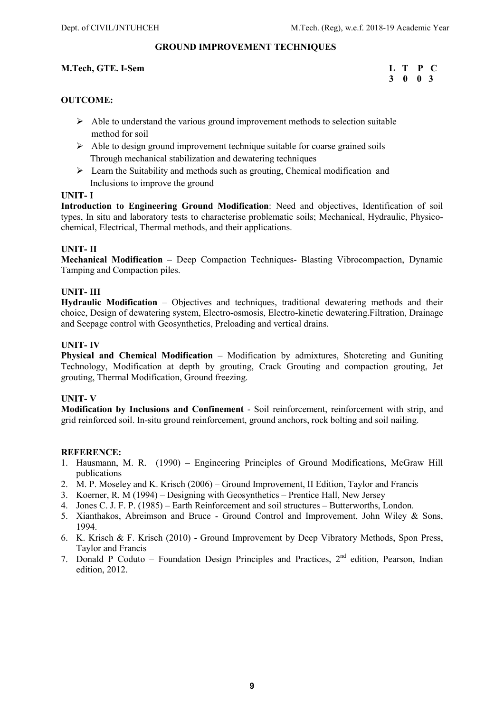### GROUND IMPROVEMENT TECHNIQUES

### M.Tech, GTE. I-Sem L T P C

# 3 0 0 3

### OUTCOME:

- $\triangleright$  Able to understand the various ground improvement methods to selection suitable method for soil
- $\triangleright$  Able to design ground improvement technique suitable for coarse grained soils Through mechanical stabilization and dewatering techniques
- $\triangleright$  Learn the Suitability and methods such as grouting, Chemical modification and Inclusions to improve the ground

### UNIT- I

Introduction to Engineering Ground Modification: Need and objectives, Identification of soil types, In situ and laboratory tests to characterise problematic soils; Mechanical, Hydraulic, Physicochemical, Electrical, Thermal methods, and their applications.

### UNIT- II

Mechanical Modification – Deep Compaction Techniques- Blasting Vibrocompaction, Dynamic Tamping and Compaction piles.

### UNIT- III

Hydraulic Modification – Objectives and techniques, traditional dewatering methods and their choice, Design of dewatering system, Electro-osmosis, Electro-kinetic dewatering.Filtration, Drainage and Seepage control with Geosynthetics, Preloading and vertical drains.

### UNIT- IV

Physical and Chemical Modification – Modification by admixtures, Shotcreting and Guniting Technology, Modification at depth by grouting, Crack Grouting and compaction grouting, Jet grouting, Thermal Modification, Ground freezing.

### UNIT- V

Modification by Inclusions and Confinement - Soil reinforcement, reinforcement with strip, and grid reinforced soil. In-situ ground reinforcement, ground anchors, rock bolting and soil nailing.

- 1. Hausmann, M. R. (1990) Engineering Principles of Ground Modifications, McGraw Hill publications
- 2. M. P. Moseley and K. Krisch (2006) Ground Improvement, II Edition, Taylor and Francis
- 3. Koerner, R. M (1994) Designing with Geosynthetics Prentice Hall, New Jersey
- 4. Jones C. J. F. P. (1985) Earth Reinforcement and soil structures Butterworths, London.
- 5. Xianthakos, Abreimson and Bruce Ground Control and Improvement, John Wiley & Sons, 1994.
- 6. K. Krisch & F. Krisch (2010) Ground Improvement by Deep Vibratory Methods, Spon Press, Taylor and Francis
- 7. Donald P Coduto Foundation Design Principles and Practices, 2<sup>nd</sup> edition, Pearson, Indian edition, 2012.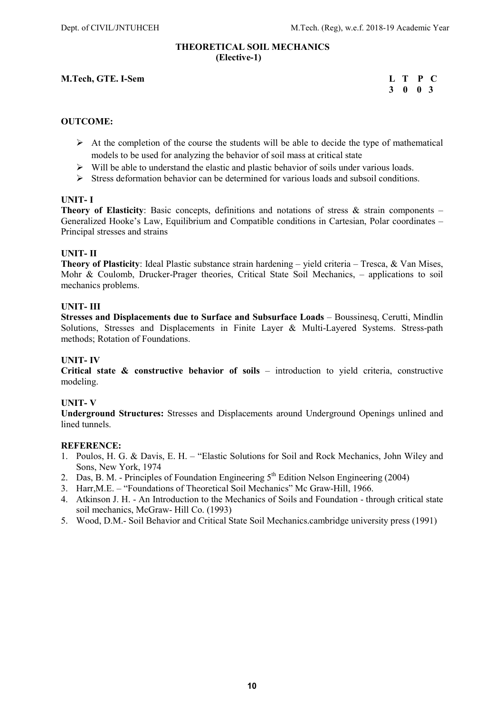### THEORETICAL SOIL MECHANICS (Elective-1)

M.Tech, GTE. I-Sem L T P C 3 0 0 3 3 0 0 3

### OUTCOME:

- $\triangleright$  At the completion of the course the students will be able to decide the type of mathematical models to be used for analyzing the behavior of soil mass at critical state
- $\triangleright$  Will be able to understand the elastic and plastic behavior of soils under various loads.
- $\triangleright$  Stress deformation behavior can be determined for various loads and subsoil conditions.

### UNIT- I

**Theory of Elasticity**: Basic concepts, definitions and notations of stress  $\&$  strain components – Generalized Hooke's Law, Equilibrium and Compatible conditions in Cartesian, Polar coordinates – Principal stresses and strains

### UNIT- II

Theory of Plasticity: Ideal Plastic substance strain hardening – yield criteria – Tresca, & Van Mises, Mohr & Coulomb, Drucker-Prager theories, Critical State Soil Mechanics, – applications to soil mechanics problems.

### UNIT- III

Stresses and Displacements due to Surface and Subsurface Loads – Boussinesq, Cerutti, Mindlin Solutions, Stresses and Displacements in Finite Layer & Multi-Layered Systems. Stress-path methods; Rotation of Foundations.

### UNIT- IV

Critical state  $\&$  constructive behavior of soils – introduction to yield criteria, constructive modeling.

### UNIT- V

Underground Structures: Stresses and Displacements around Underground Openings unlined and lined tunnels.

- 1. Poulos, H. G. & Davis, E. H. "Elastic Solutions for Soil and Rock Mechanics, John Wiley and Sons, New York, 1974
- 2. Das, B. M. Principles of Foundation Engineering  $5<sup>th</sup>$  Edition Nelson Engineering (2004)
- 3. Harr,M.E. "Foundations of Theoretical Soil Mechanics" Mc Graw-Hill, 1966.
- 4. Atkinson J. H. An Introduction to the Mechanics of Soils and Foundation through critical state soil mechanics, McGraw- Hill Co. (1993)
- 5. Wood, D.M.- Soil Behavior and Critical State Soil Mechanics.cambridge university press (1991)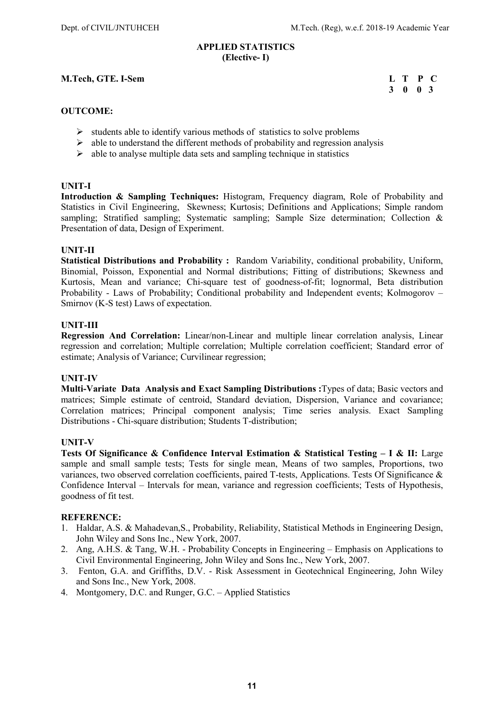### APPLIED STATISTICS (Elective- I)

### M.Tech, GTE. I-Sem L T P C 3 0 0 3 3 0 0 3

### OUTCOME:

- $\triangleright$  students able to identify various methods of statistics to solve problems
- $\triangleright$  able to understand the different methods of probability and regression analysis
- $\triangleright$  able to analyse multiple data sets and sampling technique in statistics

### UNIT-I

Introduction & Sampling Techniques: Histogram, Frequency diagram, Role of Probability and Statistics in Civil Engineering, Skewness; Kurtosis; Definitions and Applications; Simple random sampling; Stratified sampling; Systematic sampling; Sample Size determination; Collection & Presentation of data, Design of Experiment.

### UNIT-II

Statistical Distributions and Probability : Random Variability, conditional probability, Uniform, Binomial, Poisson, Exponential and Normal distributions; Fitting of distributions; Skewness and Kurtosis, Mean and variance; Chi-square test of goodness-of-fit; lognormal, Beta distribution Probability - Laws of Probability; Conditional probability and Independent events; Kolmogorov – Smirnov (K-S test) Laws of expectation.

### UNIT-III

Regression And Correlation: Linear/non-Linear and multiple linear correlation analysis, Linear regression and correlation; Multiple correlation; Multiple correlation coefficient; Standard error of estimate; Analysis of Variance; Curvilinear regression;

### UNIT-IV

Multi-Variate Data Analysis and Exact Sampling Distributions :Types of data; Basic vectors and matrices; Simple estimate of centroid, Standard deviation, Dispersion, Variance and covariance; Correlation matrices; Principal component analysis; Time series analysis. Exact Sampling Distributions - Chi-square distribution; Students T-distribution;

### UNIT-V

Tests Of Significance & Confidence Interval Estimation & Statistical Testing – I & II: Large sample and small sample tests; Tests for single mean, Means of two samples, Proportions, two variances, two observed correlation coefficients, paired T-tests, Applications. Tests Of Significance & Confidence Interval – Intervals for mean, variance and regression coefficients; Tests of Hypothesis, goodness of fit test.

- 1. Haldar, A.S. & Mahadevan,S., Probability, Reliability, Statistical Methods in Engineering Design, John Wiley and Sons Inc., New York, 2007.
- 2. Ang, A.H.S. & Tang, W.H. Probability Concepts in Engineering Emphasis on Applications to Civil Environmental Engineering, John Wiley and Sons Inc., New York, 2007.
- 3. Fenton, G.A. and Griffiths, D.V. Risk Assessment in Geotechnical Engineering, John Wiley and Sons Inc., New York, 2008.
- 4. Montgomery, D.C. and Runger, G.C. Applied Statistics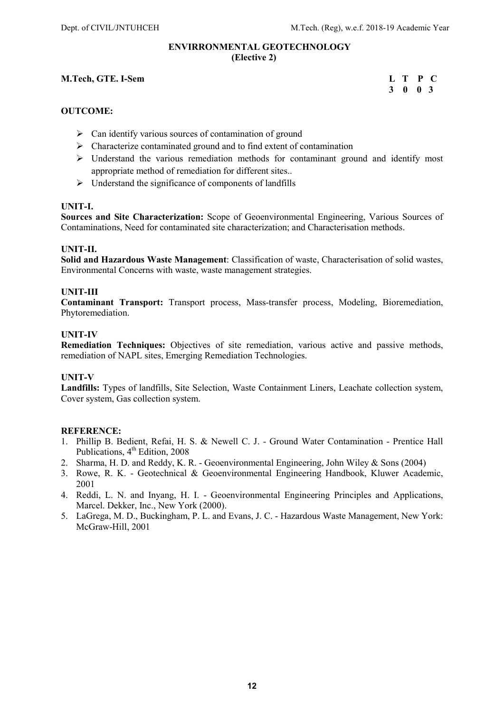### ENVIRRONMENTAL GEOTECHNOLOGY (Elective 2)

### M.Tech, GTE. I-Sem L T P C

### 3 0 0 3

### OUTCOME:

- $\triangleright$  Can identify various sources of contamination of ground
- $\triangleright$  Characterize contaminated ground and to find extent of contamination
- $\triangleright$  Understand the various remediation methods for contaminant ground and identify most appropriate method of remediation for different sites..
- $\triangleright$  Understand the significance of components of landfills

### UNIT-I.

Sources and Site Characterization: Scope of Geoenvironmental Engineering, Various Sources of Contaminations, Need for contaminated site characterization; and Characterisation methods.

### UNIT-II.

Solid and Hazardous Waste Management: Classification of waste, Characterisation of solid wastes, Environmental Concerns with waste, waste management strategies.

### UNIT-III

Contaminant Transport: Transport process, Mass-transfer process, Modeling, Bioremediation, Phytoremediation.

### UNIT-IV

Remediation Techniques: Objectives of site remediation, various active and passive methods, remediation of NAPL sites, Emerging Remediation Technologies.

### UNIT-V

Landfills: Types of landfills, Site Selection, Waste Containment Liners, Leachate collection system, Cover system, Gas collection system.

- 1. Phillip B. Bedient, Refai, H. S. & Newell C. J. Ground Water Contamination Prentice Hall Publications, 4<sup>th</sup> Edition, 2008
- 2. Sharma, H. D. and Reddy, K. R. Geoenvironmental Engineering, John Wiley & Sons (2004)
- 3. Rowe, R. K. Geotechnical & Geoenvironmental Engineering Handbook, Kluwer Academic, 2001
- 4. Reddi, L. N. and Inyang, H. I. Geoenvironmental Engineering Principles and Applications, Marcel. Dekker, Inc., New York (2000).
- 5. LaGrega, M. D., Buckingham, P. L. and Evans, J. C. Hazardous Waste Management, New York: McGraw-Hill, 2001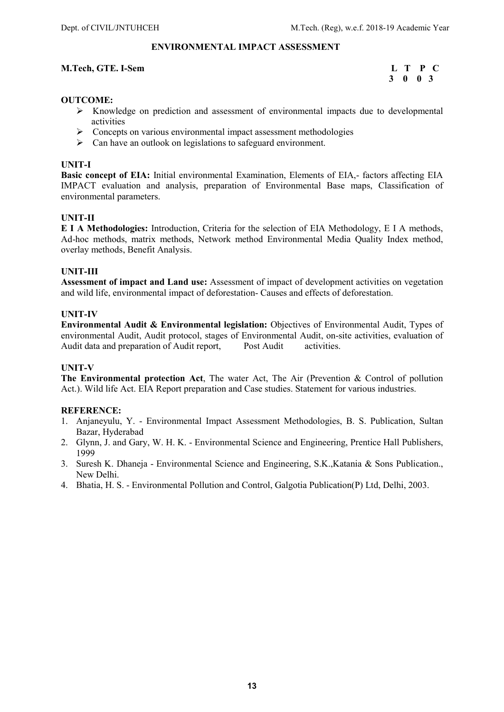### ENVIRONMENTAL IMPACT ASSESSMENT

### M.Tech, GTE. I-Sem L T P C

## 3 0 0 3

### OUTCOME:

- $\triangleright$  Knowledge on prediction and assessment of environmental impacts due to developmental activities
- Concepts on various environmental impact assessment methodologies
- $\triangleright$  Can have an outlook on legislations to safeguard environment.

### UNIT-I

Basic concept of EIA: Initial environmental Examination, Elements of EIA,- factors affecting EIA IMPACT evaluation and analysis, preparation of Environmental Base maps, Classification of environmental parameters.

### UNIT-II

E I A Methodologies: Introduction, Criteria for the selection of EIA Methodology, E I A methods, Ad-hoc methods, matrix methods, Network method Environmental Media Quality Index method, overlay methods, Benefit Analysis.

### UNIT-III

Assessment of impact and Land use: Assessment of impact of development activities on vegetation and wild life, environmental impact of deforestation- Causes and effects of deforestation.

### UNIT-IV

Environmental Audit & Environmental legislation: Objectives of Environmental Audit, Types of environmental Audit, Audit protocol, stages of Environmental Audit, on-site activities, evaluation of Audit data and preparation of Audit report, Post Audit activities.

### UNIT-V

The Environmental protection Act, The water Act, The Air (Prevention & Control of pollution Act.). Wild life Act. EIA Report preparation and Case studies. Statement for various industries.

- 1. Anjaneyulu, Y. Environmental Impact Assessment Methodologies, B. S. Publication, Sultan Bazar, Hyderabad
- 2. Glynn, J. and Gary, W. H. K. Environmental Science and Engineering, Prentice Hall Publishers, 1999
- 3. Suresh K. Dhaneja Environmental Science and Engineering, S.K.,Katania & Sons Publication., New Delhi.
- 4. Bhatia, H. S. Environmental Pollution and Control, Galgotia Publication(P) Ltd, Delhi, 2003.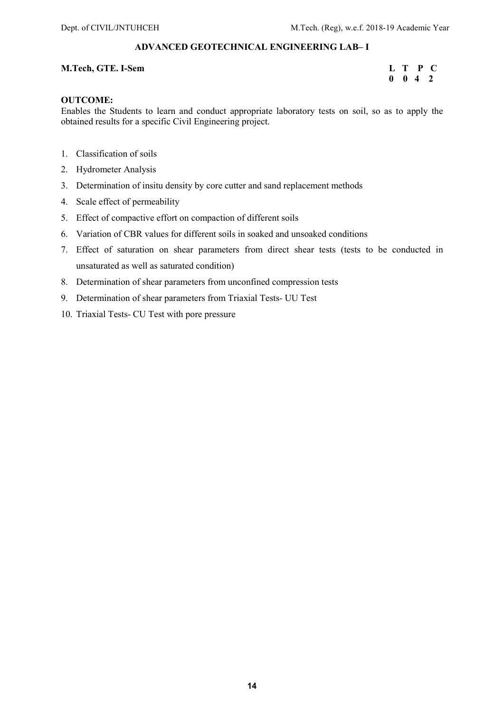### ADVANCED GEOTECHNICAL ENGINEERING LAB– I

### M.Tech, GTE. I-Sem L T P C

### $0 \quad 0 \quad 4 \quad 2$

### OUTCOME:

Enables the Students to learn and conduct appropriate laboratory tests on soil, so as to apply the obtained results for a specific Civil Engineering project.

- 1. Classification of soils
- 2. Hydrometer Analysis
- 3. Determination of insitu density by core cutter and sand replacement methods
- 4. Scale effect of permeability
- 5. Effect of compactive effort on compaction of different soils
- 6. Variation of CBR values for different soils in soaked and unsoaked conditions
- 7. Effect of saturation on shear parameters from direct shear tests (tests to be conducted in unsaturated as well as saturated condition)
- 8. Determination of shear parameters from unconfined compression tests
- 9. Determination of shear parameters from Triaxial Tests- UU Test
- 10. Triaxial Tests- CU Test with pore pressure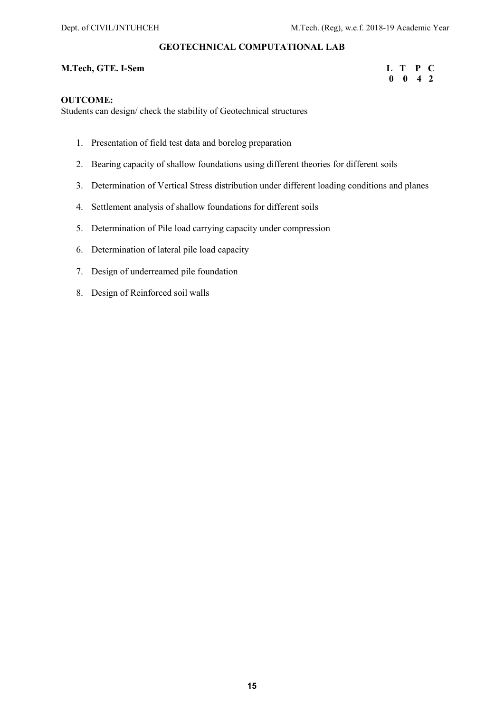### GEOTECHNICAL COMPUTATIONAL LAB

### M.Tech, GTE. I-Sem L T P C

## 0 0 4 2

### OUTCOME:

Students can design/ check the stability of Geotechnical structures

- 1. Presentation of field test data and borelog preparation
- 2. Bearing capacity of shallow foundations using different theories for different soils
- 3. Determination of Vertical Stress distribution under different loading conditions and planes
- 4. Settlement analysis of shallow foundations for different soils
- 5. Determination of Pile load carrying capacity under compression
- 6. Determination of lateral pile load capacity
- 7. Design of underreamed pile foundation
- 8. Design of Reinforced soil walls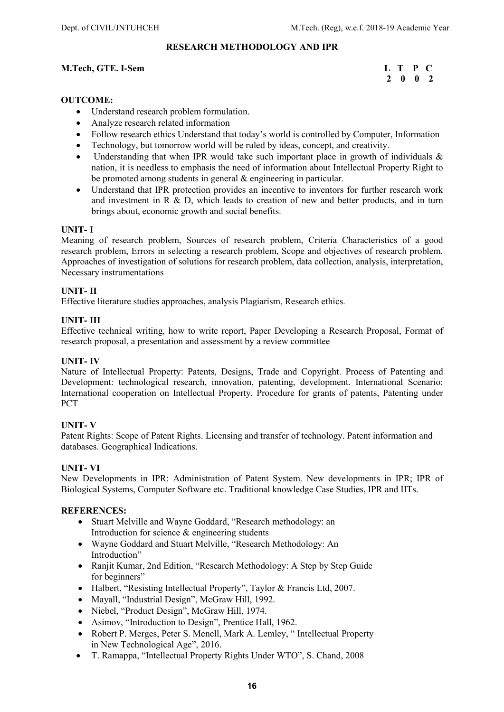### RESEARCH METHODOLOGY AND IPR

### M.Tech, GTE. I-Sem L T P C

# 2 0 0 2

### OUTCOME:

- Understand research problem formulation.
- Analyze research related information
- Follow research ethics Understand that today's world is controlled by Computer, Information
- Technology, but tomorrow world will be ruled by ideas, concept, and creativity.
- Understanding that when IPR would take such important place in growth of individuals & nation, it is needless to emphasis the need of information about Intellectual Property Right to be promoted among students in general & engineering in particular.
- Understand that IPR protection provides an incentive to inventors for further research work and investment in R & D, which leads to creation of new and better products, and in turn brings about, economic growth and social benefits.

### UNIT- I

Meaning of research problem, Sources of research problem, Criteria Characteristics of a good research problem, Errors in selecting a research problem, Scope and objectives of research problem. Approaches of investigation of solutions for research problem, data collection, analysis, interpretation, Necessary instrumentations

### UNIT- II

Effective literature studies approaches, analysis Plagiarism, Research ethics.

### UNIT- III

Effective technical writing, how to write report, Paper Developing a Research Proposal, Format of research proposal, a presentation and assessment by a review committee

### UNIT- IV

Nature of Intellectual Property: Patents, Designs, Trade and Copyright. Process of Patenting and Development: technological research, innovation, patenting, development. International Scenario: International cooperation on Intellectual Property. Procedure for grants of patents, Patenting under **PCT** 

### UNIT- V

Patent Rights: Scope of Patent Rights. Licensing and transfer of technology. Patent information and databases. Geographical Indications.

### UNIT- VI

New Developments in IPR: Administration of Patent System. New developments in IPR; IPR of Biological Systems, Computer Software etc. Traditional knowledge Case Studies, IPR and IITs.

- Stuart Melville and Wayne Goddard, "Research methodology: an Introduction for science & engineering students
- Wayne Goddard and Stuart Melville, "Research Methodology: An Introduction"
- Ranjit Kumar, 2nd Edition, "Research Methodology: A Step by Step Guide for beginners"
- Halbert, "Resisting Intellectual Property", Taylor & Francis Ltd, 2007.
- Mayall, "Industrial Design", McGraw Hill, 1992.
- Niebel, "Product Design", McGraw Hill, 1974.
- Asimov, "Introduction to Design", Prentice Hall, 1962.
- Robert P. Merges, Peter S. Menell, Mark A. Lemley, " Intellectual Property in New Technological Age", 2016.
- T. Ramappa, "Intellectual Property Rights Under WTO", S. Chand, 2008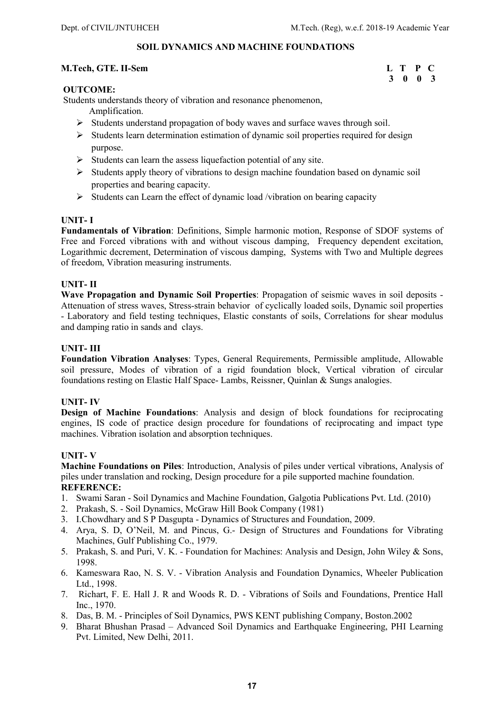### SOIL DYNAMICS AND MACHINE FOUNDATIONS

### M.Tech, GTE. II-Sem L T P C

# 3 0 0 3

### OUTCOME:

Students understands theory of vibration and resonance phenomenon,

- Amplification.
- $\triangleright$  Students understand propagation of body waves and surface waves through soil.
- $\triangleright$  Students learn determination estimation of dynamic soil properties required for design purpose.
- $\triangleright$  Students can learn the assess liquefaction potential of any site.
- $\triangleright$  Students apply theory of vibrations to design machine foundation based on dynamic soil properties and bearing capacity.
- $\triangleright$  Students can Learn the effect of dynamic load /vibration on bearing capacity

### UNIT- I

Fundamentals of Vibration: Definitions, Simple harmonic motion, Response of SDOF systems of Free and Forced vibrations with and without viscous damping, Frequency dependent excitation, Logarithmic decrement, Determination of viscous damping, Systems with Two and Multiple degrees of freedom, Vibration measuring instruments.

### UNIT- II

Wave Propagation and Dynamic Soil Properties: Propagation of seismic waves in soil deposits -Attenuation of stress waves, Stress-strain behavior of cyclically loaded soils, Dynamic soil properties - Laboratory and field testing techniques, Elastic constants of soils, Correlations for shear modulus and damping ratio in sands and clays.

### UNIT- III

Foundation Vibration Analyses: Types, General Requirements, Permissible amplitude, Allowable soil pressure, Modes of vibration of a rigid foundation block, Vertical vibration of circular foundations resting on Elastic Half Space- Lambs, Reissner, Quinlan & Sungs analogies.

### UNIT- IV

Design of Machine Foundations: Analysis and design of block foundations for reciprocating engines, IS code of practice design procedure for foundations of reciprocating and impact type machines. Vibration isolation and absorption techniques.

### UNIT- V

Machine Foundations on Piles: Introduction, Analysis of piles under vertical vibrations, Analysis of piles under translation and rocking, Design procedure for a pile supported machine foundation. REFERENCE:

- 1. Swami Saran Soil Dynamics and Machine Foundation, Galgotia Publications Pvt. Ltd. (2010)
- 2. Prakash, S. Soil Dynamics, McGraw Hill Book Company (1981)
- 3. I.Chowdhary and S P Dasgupta Dynamics of Structures and Foundation, 2009.
- 4. Arya, S. D, O'Neil, M. and Pincus, G.- Design of Structures and Foundations for Vibrating Machines, Gulf Publishing Co., 1979.
- 5. Prakash, S. and Puri, V. K. Foundation for Machines: Analysis and Design, John Wiley & Sons, 1998.
- 6. Kameswara Rao, N. S. V. Vibration Analysis and Foundation Dynamics, Wheeler Publication Ltd., 1998.
- 7. Richart, F. E. Hall J. R and Woods R. D. Vibrations of Soils and Foundations, Prentice Hall Inc., 1970.
- 8. Das, B. M. Principles of Soil Dynamics, PWS KENT publishing Company, Boston.2002
- 9. Bharat Bhushan Prasad Advanced Soil Dynamics and Earthquake Engineering, PHI Learning Pvt. Limited, New Delhi, 2011.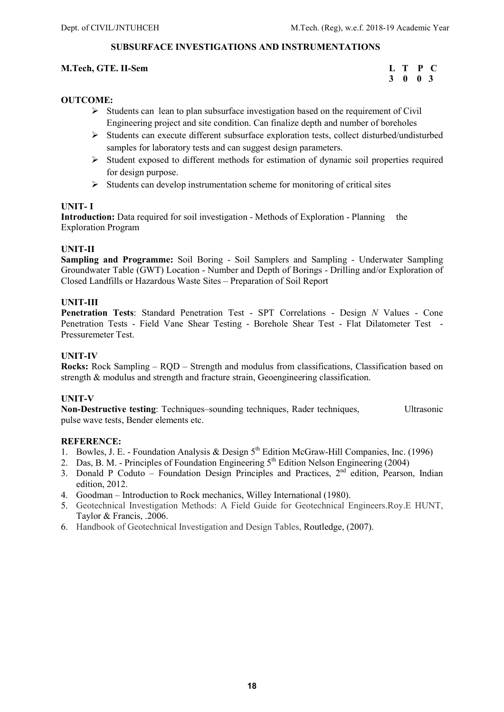### SUBSURFACE INVESTIGATIONS AND INSTRUMENTATIONS

### M.Tech, GTE. II-Sem L T P C

```
 3 0 0 3
```
### OUTCOME:

- $\triangleright$  Students can lean to plan subsurface investigation based on the requirement of Civil Engineering project and site condition. Can finalize depth and number of boreholes
- Students can execute different subsurface exploration tests, collect disturbed/undisturbed samples for laboratory tests and can suggest design parameters.
- $\triangleright$  Student exposed to different methods for estimation of dynamic soil properties required for design purpose.
- $\triangleright$  Students can develop instrumentation scheme for monitoring of critical sites

### UNIT- I

Introduction: Data required for soil investigation - Methods of Exploration - Planning the Exploration Program

### UNIT-II

Sampling and Programme: Soil Boring - Soil Samplers and Sampling - Underwater Sampling Groundwater Table (GWT) Location - Number and Depth of Borings - Drilling and/or Exploration of Closed Landfills or Hazardous Waste Sites – Preparation of Soil Report

### UNIT-III

Penetration Tests: Standard Penetration Test - SPT Correlations - Design N Values - Cone Penetration Tests - Field Vane Shear Testing - Borehole Shear Test - Flat Dilatometer Test - Pressuremeter Test.

### UNIT-IV

Rocks: Rock Sampling – RQD – Strength and modulus from classifications, Classification based on strength & modulus and strength and fracture strain, Geoengineering classification.

### UNIT-V

Non-Destructive testing: Techniques–sounding techniques, Rader techniques, Ultrasonic pulse wave tests, Bender elements etc.

- 1. Bowles, J. E. Foundation Analysis & Design  $5<sup>th</sup>$  Edition McGraw-Hill Companies, Inc. (1996)
- 2. Das, B. M. Principles of Foundation Engineering 5<sup>th</sup> Edition Nelson Engineering (2004)
- 3. Donald P Coduto Foundation Design Principles and Practices,  $2<sup>nd</sup>$  edition, Pearson, Indian edition, 2012.
- 4. Goodman Introduction to Rock mechanics, Willey International (1980).
- 5. Geotechnical Investigation Methods: A Field Guide for Geotechnical Engineers.Roy.E HUNT, Taylor & Francis, .2006.
- 6. Handbook of Geotechnical Investigation and Design Tables, Routledge, (2007).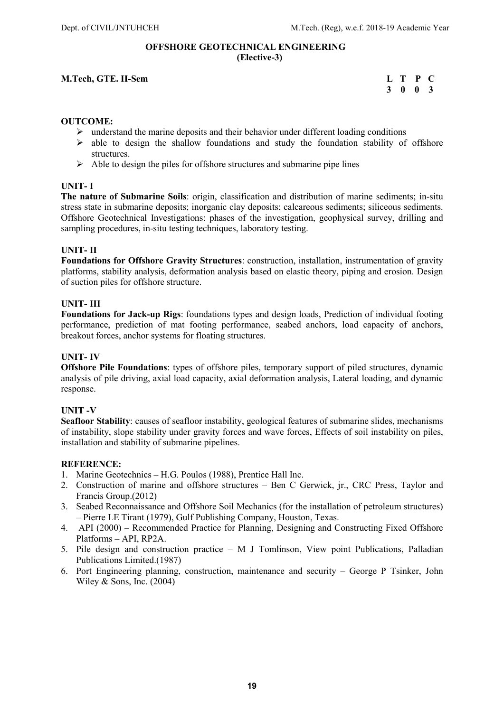### OFFSHORE GEOTECHNICAL ENGINEERING (Elective-3)

### M.Tech, GTE. II-Sem L T P C 3 0 0 3 3 0 0 3

### OUTCOME:

- $\triangleright$  understand the marine deposits and their behavior under different loading conditions
- $\triangleright$  able to design the shallow foundations and study the foundation stability of offshore structures.
- $\triangleright$  Able to design the piles for offshore structures and submarine pipe lines

### UNIT- I

The nature of Submarine Soils: origin, classification and distribution of marine sediments; in-situ stress state in submarine deposits; inorganic clay deposits; calcareous sediments; siliceous sediments. Offshore Geotechnical Investigations: phases of the investigation, geophysical survey, drilling and sampling procedures, in-situ testing techniques, laboratory testing.

### UNIT- II

Foundations for Offshore Gravity Structures: construction, installation, instrumentation of gravity platforms, stability analysis, deformation analysis based on elastic theory, piping and erosion. Design of suction piles for offshore structure.

### UNIT- III

Foundations for Jack-up Rigs: foundations types and design loads, Prediction of individual footing performance, prediction of mat footing performance, seabed anchors, load capacity of anchors, breakout forces, anchor systems for floating structures.

### UNIT- IV

Offshore Pile Foundations: types of offshore piles, temporary support of piled structures, dynamic analysis of pile driving, axial load capacity, axial deformation analysis, Lateral loading, and dynamic response.

### UNIT -V

Seafloor Stability: causes of seafloor instability, geological features of submarine slides, mechanisms of instability, slope stability under gravity forces and wave forces, Effects of soil instability on piles, installation and stability of submarine pipelines.

- 1. Marine Geotechnics H.G. Poulos (1988), Prentice Hall Inc.
- 2. Construction of marine and offshore structures Ben C Gerwick, jr., CRC Press, Taylor and Francis Group.(2012)
- 3. Seabed Reconnaissance and Offshore Soil Mechanics (for the installation of petroleum structures) – Pierre LE Tirant (1979), Gulf Publishing Company, Houston, Texas.
- 4. API (2000) Recommended Practice for Planning, Designing and Constructing Fixed Offshore Platforms – API, RP2A.
- 5. Pile design and construction practice M J Tomlinson, View point Publications, Palladian Publications Limited.(1987)
- 6. Port Engineering planning, construction, maintenance and security George P Tsinker, John Wiley  $&$  Sons, Inc. (2004)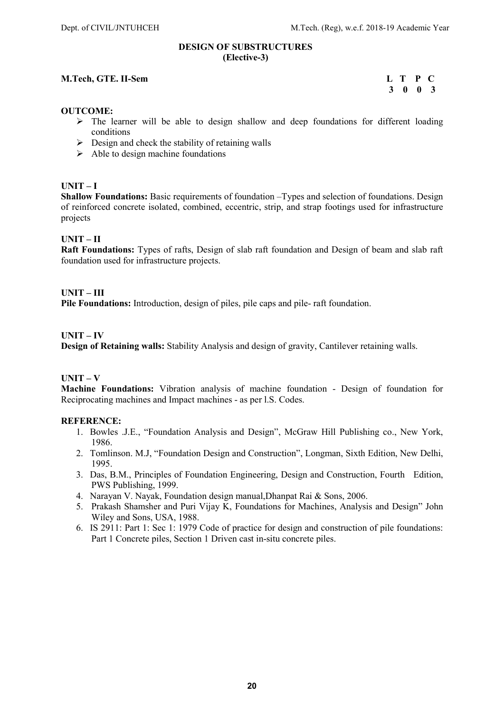### DESIGN OF SUBSTRUCTURES (Elective-3)

### M.Tech, GTE. II-Sem L T P C

3 0 0 3

### OUTCOME:

- $\triangleright$  The learner will be able to design shallow and deep foundations for different loading conditions
- $\triangleright$  Design and check the stability of retaining walls
- $\triangleright$  Able to design machine foundations

### $UNIT-I$

Shallow Foundations: Basic requirements of foundation –Types and selection of foundations. Design of reinforced concrete isolated, combined, eccentric, strip, and strap footings used for infrastructure projects

### UNIT – II

Raft Foundations: Types of rafts, Design of slab raft foundation and Design of beam and slab raft foundation used for infrastructure projects.

### UNIT – III

Pile Foundations: Introduction, design of piles, pile caps and pile- raft foundation.

### UNIT – IV

Design of Retaining walls: Stability Analysis and design of gravity, Cantilever retaining walls.

### $UNIT - V$

Machine Foundations: Vibration analysis of machine foundation - Design of foundation for Reciprocating machines and Impact machines - as per l.S. Codes.

- 1. Bowles .J.E., "Foundation Analysis and Design", McGraw Hill Publishing co., New York, 1986.
- 2. Tomlinson. M.J, "Foundation Design and Construction", Longman, Sixth Edition, New Delhi, 1995.
- 3. Das, B.M., Principles of Foundation Engineering, Design and Construction, Fourth Edition, PWS Publishing, 1999.
- 4. Narayan V. Nayak, Foundation design manual,Dhanpat Rai & Sons, 2006.
- 5. Prakash Shamsher and Puri Vijay K, Foundations for Machines, Analysis and Design" John Wiley and Sons, USA, 1988.
- 6. IS 2911: Part 1: Sec 1: 1979 Code of practice for design and construction of pile foundations: Part 1 Concrete piles, Section 1 Driven cast in-situ concrete piles.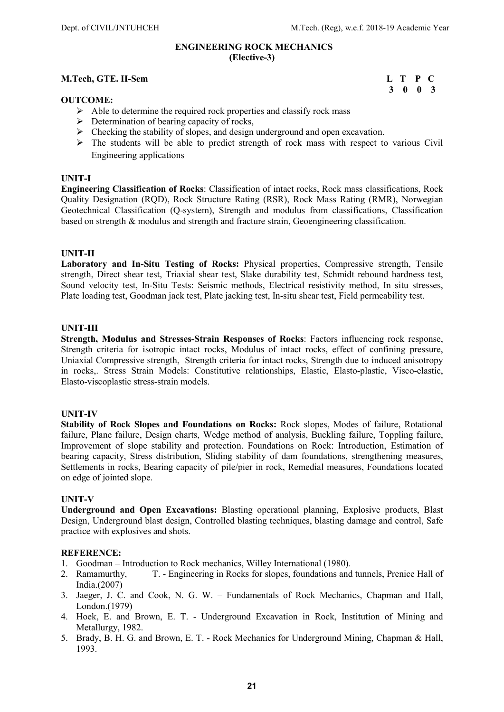3 0 0 3

### ENGINEERING ROCK MECHANICS (Elective-3)

### M.Tech, GTE. II-Sem L T P C

### OUTCOME:

- $\triangleright$  Able to determine the required rock properties and classify rock mass
- $\triangleright$  Determination of bearing capacity of rocks,
- $\triangleright$  Checking the stability of slopes, and design underground and open excavation.
- $\triangleright$  The students will be able to predict strength of rock mass with respect to various Civil Engineering applications

### UNIT-I

Engineering Classification of Rocks: Classification of intact rocks, Rock mass classifications, Rock Quality Designation (RQD), Rock Structure Rating (RSR), Rock Mass Rating (RMR), Norwegian Geotechnical Classification (Q-system), Strength and modulus from classifications, Classification based on strength & modulus and strength and fracture strain, Geoengineering classification.

### UNIT-II

Laboratory and In-Situ Testing of Rocks: Physical properties, Compressive strength, Tensile strength, Direct shear test, Triaxial shear test, Slake durability test, Schmidt rebound hardness test, Sound velocity test, In-Situ Tests: Seismic methods, Electrical resistivity method, In situ stresses, Plate loading test, Goodman jack test, Plate jacking test, In-situ shear test, Field permeability test.

### UNIT-III

Strength, Modulus and Stresses-Strain Responses of Rocks: Factors influencing rock response, Strength criteria for isotropic intact rocks, Modulus of intact rocks, effect of confining pressure, Uniaxial Compressive strength, Strength criteria for intact rocks, Strength due to induced anisotropy in rocks,. Stress Strain Models: Constitutive relationships, Elastic, Elasto-plastic, Visco-elastic, Elasto-viscoplastic stress-strain models.

### UNIT-IV

Stability of Rock Slopes and Foundations on Rocks: Rock slopes, Modes of failure, Rotational failure, Plane failure, Design charts, Wedge method of analysis, Buckling failure, Toppling failure, Improvement of slope stability and protection. Foundations on Rock: Introduction, Estimation of bearing capacity, Stress distribution, Sliding stability of dam foundations, strengthening measures, Settlements in rocks, Bearing capacity of pile/pier in rock, Remedial measures, Foundations located on edge of jointed slope.

### UNIT-V

Underground and Open Excavations: Blasting operational planning, Explosive products, Blast Design, Underground blast design, Controlled blasting techniques, blasting damage and control, Safe practice with explosives and shots.

- 1. Goodman Introduction to Rock mechanics, Willey International (1980).<br>2. Ramamurthy. T. Engineering in Rocks for slopes, foundations and
- T. Engineering in Rocks for slopes, foundations and tunnels, Prenice Hall of India.(2007)
- 3. Jaeger, J. C. and Cook, N. G. W. Fundamentals of Rock Mechanics, Chapman and Hall, London.(1979)
- 4. Hoek, E. and Brown, E. T. Underground Excavation in Rock, Institution of Mining and Metallurgy, 1982.
- 5. Brady, B. H. G. and Brown, E. T. Rock Mechanics for Underground Mining, Chapman & Hall, 1993.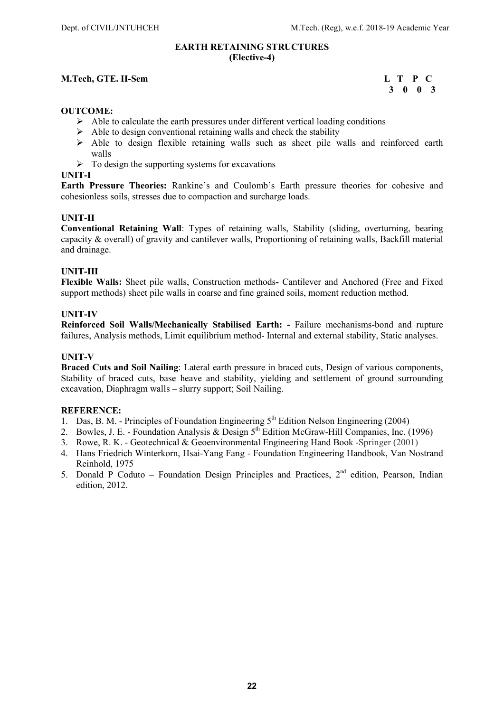### EARTH RETAINING STRUCTURES (Elective-4)

### M.Tech, GTE. II-Sem L T P C

### 3 0 0 3

### OUTCOME:

- $\triangleright$  Able to calculate the earth pressures under different vertical loading conditions
- $\triangleright$  Able to design conventional retaining walls and check the stability
- $\triangleright$  Able to design flexible retaining walls such as sheet pile walls and reinforced earth walls
- $\triangleright$  To design the supporting systems for excavations

### UNIT-I

Earth Pressure Theories: Rankine's and Coulomb's Earth pressure theories for cohesive and cohesionless soils, stresses due to compaction and surcharge loads.

### UNIT-II

Conventional Retaining Wall: Types of retaining walls, Stability (sliding, overturning, bearing capacity & overall) of gravity and cantilever walls, Proportioning of retaining walls, Backfill material and drainage.

### UNIT-III

Flexible Walls: Sheet pile walls, Construction methods- Cantilever and Anchored (Free and Fixed support methods) sheet pile walls in coarse and fine grained soils, moment reduction method.

### UNIT-IV

Reinforced Soil Walls/Mechanically Stabilised Earth: - Failure mechanisms-bond and rupture failures, Analysis methods, Limit equilibrium method- Internal and external stability, Static analyses.

### UNIT-V

Braced Cuts and Soil Nailing: Lateral earth pressure in braced cuts, Design of various components, Stability of braced cuts, base heave and stability, yielding and settlement of ground surrounding excavation, Diaphragm walls – slurry support; Soil Nailing.

- 1. Das, B. M. Principles of Foundation Engineering 5<sup>th</sup> Edition Nelson Engineering (2004)
- 2. Bowles, J. E. Foundation Analysis & Design  $5^{th}$  Edition McGraw-Hill Companies, Inc. (1996)
- 3. Rowe, R. K. Geotechnical & Geoenvironmental Engineering Hand Book -Springer (2001)
- 4. Hans Friedrich Winterkorn, Hsai-Yang Fang Foundation Engineering Handbook, Van Nostrand Reinhold, 1975
- 5. Donald P Coduto Foundation Design Principles and Practices,  $2<sup>nd</sup>$  edition, Pearson, Indian edition, 2012.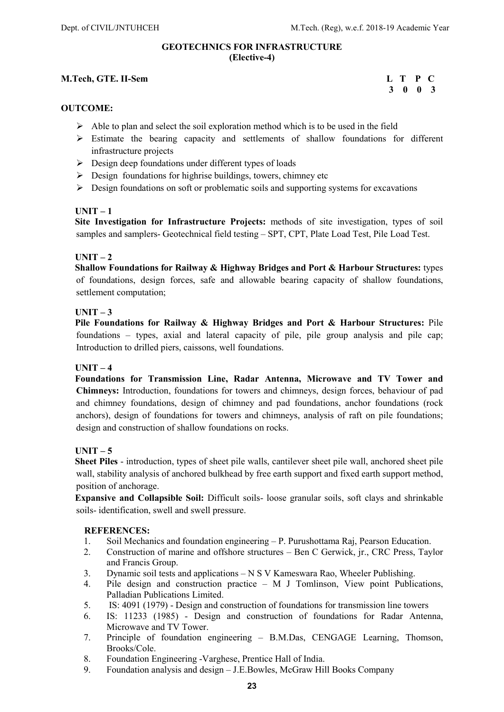### GEOTECHNICS FOR INFRASTRUCTURE (Elective-4)

### M.Tech, GTE. II-Sem L T P C

### 3 0 0 3

### OUTCOME:

- $\triangleright$  Able to plan and select the soil exploration method which is to be used in the field
- Estimate the bearing capacity and settlements of shallow foundations for different infrastructure projects
- $\triangleright$  Design deep foundations under different types of loads
- $\triangleright$  Design foundations for highrise buildings, towers, chimney etc
- $\triangleright$  Design foundations on soft or problematic soils and supporting systems for excavations

### $UNIT - 1$

 Site Investigation for Infrastructure Projects: methods of site investigation, types of soil samples and samplers- Geotechnical field testing – SPT, CPT, Plate Load Test, Pile Load Test.

### $IINT - 2$

 Shallow Foundations for Railway & Highway Bridges and Port & Harbour Structures: types of foundations, design forces, safe and allowable bearing capacity of shallow foundations, settlement computation;

### $IINT - 3$

 Pile Foundations for Railway & Highway Bridges and Port & Harbour Structures: Pile foundations – types, axial and lateral capacity of pile, pile group analysis and pile cap; Introduction to drilled piers, caissons, well foundations.

### $$

 Foundations for Transmission Line, Radar Antenna, Microwave and TV Tower and Chimneys: Introduction, foundations for towers and chimneys, design forces, behaviour of pad and chimney foundations, design of chimney and pad foundations, anchor foundations (rock anchors), design of foundations for towers and chimneys, analysis of raft on pile foundations; design and construction of shallow foundations on rocks.

### $$

 Sheet Piles - introduction, types of sheet pile walls, cantilever sheet pile wall, anchored sheet pile wall, stability analysis of anchored bulkhead by free earth support and fixed earth support method, position of anchorage.

 Expansive and Collapsible Soil: Difficult soils- loose granular soils, soft clays and shrinkable soils- identification, swell and swell pressure.

- 1. Soil Mechanics and foundation engineering P. Purushottama Raj, Pearson Education.
- 2. Construction of marine and offshore structures Ben C Gerwick, jr., CRC Press, Taylor and Francis Group.
- 3. Dynamic soil tests and applications N S V Kameswara Rao, Wheeler Publishing.
- 4. Pile design and construction practice M J Tomlinson, View point Publications, Palladian Publications Limited.
- 5. IS: 4091 (1979) Design and construction of foundations for transmission line towers
- 6. IS: 11233 (1985) Design and construction of foundations for Radar Antenna, Microwave and TV Tower.
- 7. Principle of foundation engineering B.M.Das, CENGAGE Learning, Thomson, Brooks/Cole.
- 8. Foundation Engineering -Varghese, Prentice Hall of India.
- 9. Foundation analysis and design J.E.Bowles, McGraw Hill Books Company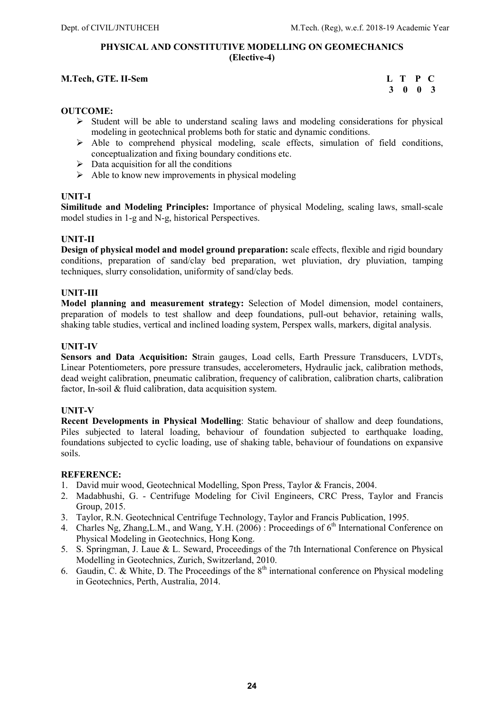### PHYSICAL AND CONSTITUTIVE MODELLING ON GEOMECHANICS (Elective-4)

### M.Tech, GTE. II-Sem L T P C

3 0 0 3

### OUTCOME:

- $\triangleright$  Student will be able to understand scaling laws and modeling considerations for physical modeling in geotechnical problems both for static and dynamic conditions.
- $\triangleright$  Able to comprehend physical modeling, scale effects, simulation of field conditions, conceptualization and fixing boundary conditions etc.
- $\triangleright$  Data acquisition for all the conditions
- $\triangleright$  Able to know new improvements in physical modeling

### UNIT-I

Similitude and Modeling Principles: Importance of physical Modeling, scaling laws, small-scale model studies in 1-g and N-g, historical Perspectives.

### UNIT-II

Design of physical model and model ground preparation: scale effects, flexible and rigid boundary conditions, preparation of sand/clay bed preparation, wet pluviation, dry pluviation, tamping techniques, slurry consolidation, uniformity of sand/clay beds.

### UNIT-III

Model planning and measurement strategy: Selection of Model dimension, model containers, preparation of models to test shallow and deep foundations, pull-out behavior, retaining walls, shaking table studies, vertical and inclined loading system, Perspex walls, markers, digital analysis.

### UNIT-IV

Sensors and Data Acquisition: Strain gauges, Load cells, Earth Pressure Transducers, LVDTs, Linear Potentiometers, pore pressure transudes, accelerometers, Hydraulic jack, calibration methods, dead weight calibration, pneumatic calibration, frequency of calibration, calibration charts, calibration factor, In-soil & fluid calibration, data acquisition system.

### UNIT-V

Recent Developments in Physical Modelling: Static behaviour of shallow and deep foundations, Piles subjected to lateral loading, behaviour of foundation subjected to earthquake loading, foundations subjected to cyclic loading, use of shaking table, behaviour of foundations on expansive soils.

- 1. David muir wood, Geotechnical Modelling, Spon Press, Taylor & Francis, 2004.
- 2. Madabhushi, G. Centrifuge Modeling for Civil Engineers, CRC Press, Taylor and Francis Group, 2015.
- 3. Taylor, R.N. Geotechnical Centrifuge Technology, Taylor and Francis Publication, 1995.
- 4. Charles Ng, Zhang, L.M., and Wang, Y.H. (2006) : Proceedings of 6<sup>th</sup> International Conference on Physical Modeling in Geotechnics, Hong Kong.
- 5. S. Springman, J. Laue & L. Seward, Proceedings of the 7th International Conference on Physical Modelling in Geotechnics, Zurich, Switzerland, 2010.
- 6. Gaudin, C. & White, D. The Proceedings of the 8th international conference on Physical modeling in Geotechnics, Perth, Australia, 2014.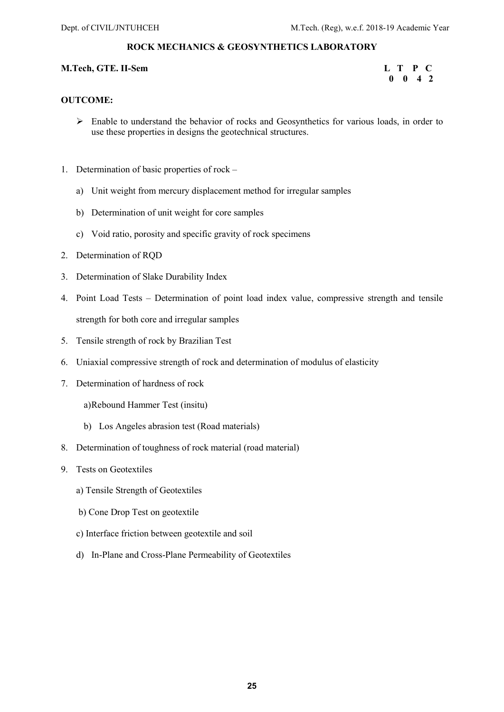### ROCK MECHANICS & GEOSYNTHETICS LABORATORY

### M.Tech, GTE. II-Sem L T P C

# 0 0 4 2

### OUTCOME:

- Enable to understand the behavior of rocks and Geosynthetics for various loads, in order to use these properties in designs the geotechnical structures.
- 1. Determination of basic properties of rock
	- a) Unit weight from mercury displacement method for irregular samples
	- b) Determination of unit weight for core samples
	- c) Void ratio, porosity and specific gravity of rock specimens
- 2. Determination of RQD
- 3. Determination of Slake Durability Index
- 4. Point Load Tests Determination of point load index value, compressive strength and tensile strength for both core and irregular samples
- 5. Tensile strength of rock by Brazilian Test
- 6. Uniaxial compressive strength of rock and determination of modulus of elasticity
- 7. Determination of hardness of rock

a)Rebound Hammer Test (insitu)

- b) Los Angeles abrasion test (Road materials)
- 8. Determination of toughness of rock material (road material)
- 9. Tests on Geotextiles
	- a) Tensile Strength of Geotextiles
	- b) Cone Drop Test on geotextile
	- c) Interface friction between geotextile and soil
	- d) In-Plane and Cross-Plane Permeability of Geotextiles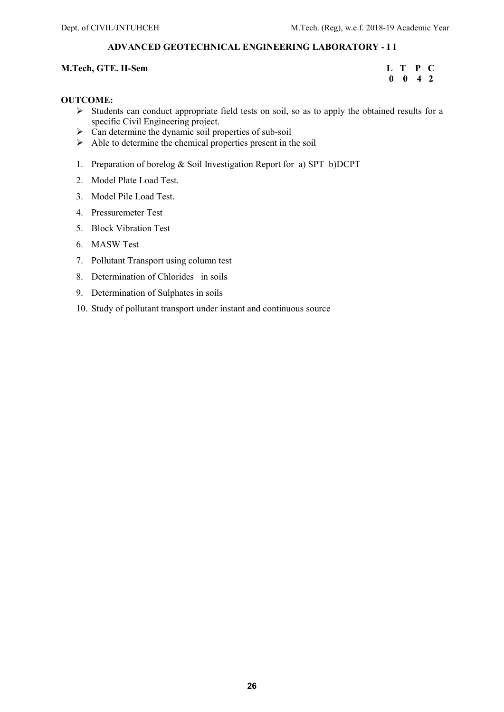### ADVANCED GEOTECHNICAL ENGINEERING LABORATORY - I I

### M.Tech, GTE. II-Sem L T P C

### $0 \quad 0 \quad 4 \quad 2$

### OUTCOME:

- $\triangleright$  Students can conduct appropriate field tests on soil, so as to apply the obtained results for a specific Civil Engineering project.
- $\triangleright$  Can determine the dynamic soil properties of sub-soil
- $\triangleright$  Able to determine the chemical properties present in the soil
- 1. Preparation of borelog & Soil Investigation Report for a) SPT b)DCPT
- 2. Model Plate Load Test.
- 3. Model Pile Load Test.
- 4. Pressuremeter Test
- 5. Block Vibration Test
- 6. MASW Test
- 7. Pollutant Transport using column test
- 8. Determination of Chlorides in soils
- 9. Determination of Sulphates in soils
- 10. Study of pollutant transport under instant and continuous source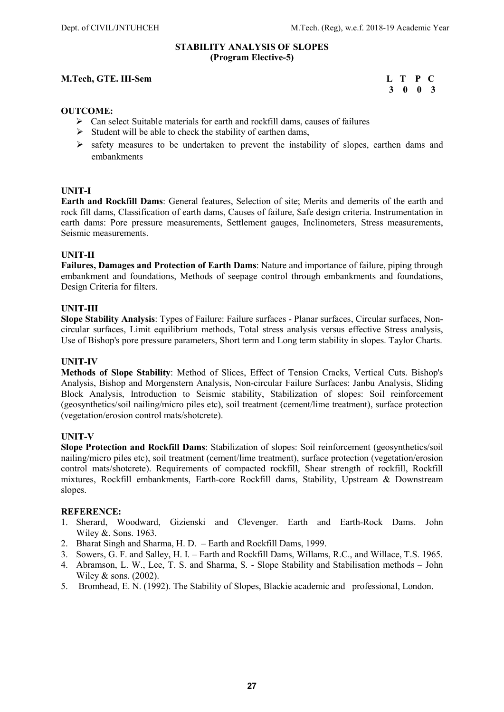### STABILITY ANALYSIS OF SLOPES (Program Elective-5)

### M.Tech, GTE. III-Sem L T P C

### 3 0 0 3

### OUTCOME:

- $\triangleright$  Can select Suitable materials for earth and rockfill dams, causes of failures
- $\triangleright$  Student will be able to check the stability of earthen dams,
- $\triangleright$  safety measures to be undertaken to prevent the instability of slopes, earthen dams and embankments

### UNIT-I

Earth and Rockfill Dams: General features, Selection of site; Merits and demerits of the earth and rock fill dams, Classification of earth dams, Causes of failure, Safe design criteria. Instrumentation in earth dams: Pore pressure measurements, Settlement gauges, Inclinometers, Stress measurements, Seismic measurements.

### UNIT-II

Failures, Damages and Protection of Earth Dams: Nature and importance of failure, piping through embankment and foundations, Methods of seepage control through embankments and foundations, Design Criteria for filters.

### UNIT-III

Slope Stability Analysis: Types of Failure: Failure surfaces - Planar surfaces, Circular surfaces, Noncircular surfaces, Limit equilibrium methods, Total stress analysis versus effective Stress analysis, Use of Bishop's pore pressure parameters, Short term and Long term stability in slopes. Taylor Charts.

### UNIT-IV

Methods of Slope Stability: Method of Slices, Effect of Tension Cracks, Vertical Cuts. Bishop's Analysis, Bishop and Morgenstern Analysis, Non-circular Failure Surfaces: Janbu Analysis, Sliding Block Analysis, Introduction to Seismic stability, Stabilization of slopes: Soil reinforcement (geosynthetics/soil nailing/micro piles etc), soil treatment (cement/lime treatment), surface protection (vegetation/erosion control mats/shotcrete).

### UNIT-V

Slope Protection and Rockfill Dams: Stabilization of slopes: Soil reinforcement (geosynthetics/soil nailing/micro piles etc), soil treatment (cement/lime treatment), surface protection (vegetation/erosion control mats/shotcrete). Requirements of compacted rockfill, Shear strength of rockfill, Rockfill mixtures, Rockfill embankments, Earth-core Rockfill dams, Stability, Upstream & Downstream slopes.

- 1. Sherard, Woodward, Gizienski and Clevenger. Earth and Earth-Rock Dams. John Wiley &. Sons. 1963.
- 2. Bharat Singh and Sharma, H. D. Earth and Rockfill Dams, 1999.
- 3. Sowers, G. F. and Salley, H. I. Earth and Rockfill Dams, Willams, R.C., and Willace, T.S. 1965.
- 4. Abramson, L. W., Lee, T. S. and Sharma, S. Slope Stability and Stabilisation methods John Wiley & sons. (2002).
- 5. Bromhead, E. N. (1992). The Stability of Slopes, Blackie academic and professional, London.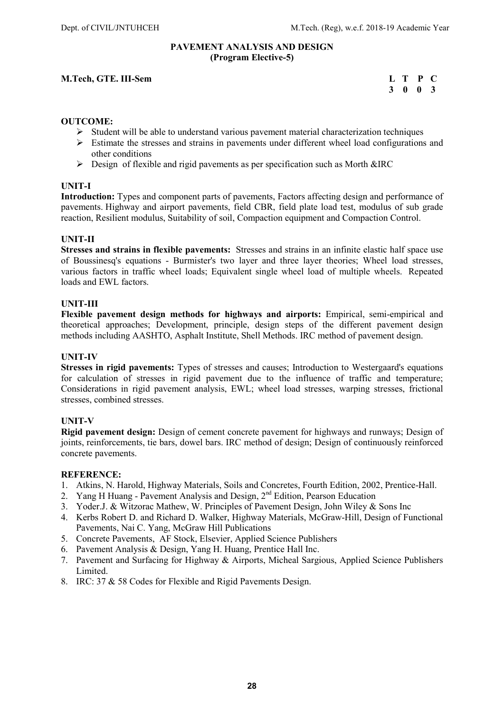### PAVEMENT ANALYSIS AND DESIGN (Program Elective-5)

### M.Tech, GTE. III-Sem

| M.Tech, GTE. III-Sem | L T P C |  |
|----------------------|---------|--|
|                      | 3 0 0 3 |  |

### OUTCOME:

- $\triangleright$  Student will be able to understand various pavement material characterization techniques
- $\triangleright$  Estimate the stresses and strains in pavements under different wheel load configurations and other conditions
- $\triangleright$  Design of flexible and rigid pavements as per specification such as Morth &IRC

### UNIT-I

Introduction: Types and component parts of pavements, Factors affecting design and performance of pavements. Highway and airport pavements, field CBR, field plate load test, modulus of sub grade reaction, Resilient modulus, Suitability of soil, Compaction equipment and Compaction Control.

### UNIT-II

Stresses and strains in flexible pavements: Stresses and strains in an infinite elastic half space use of Boussinesq's equations - Burmister's two layer and three layer theories; Wheel load stresses, various factors in traffic wheel loads; Equivalent single wheel load of multiple wheels. Repeated loads and EWL factors.

### UNIT-III

Flexible pavement design methods for highways and airports: Empirical, semi-empirical and theoretical approaches; Development, principle, design steps of the different pavement design methods including AASHTO, Asphalt Institute, Shell Methods. IRC method of pavement design.

### UNIT-IV

Stresses in rigid pavements: Types of stresses and causes; Introduction to Westergaard's equations for calculation of stresses in rigid pavement due to the influence of traffic and temperature; Considerations in rigid pavement analysis, EWL; wheel load stresses, warping stresses, frictional stresses, combined stresses.

### UNIT-V

Rigid pavement design: Design of cement concrete pavement for highways and runways; Design of joints, reinforcements, tie bars, dowel bars. IRC method of design; Design of continuously reinforced concrete pavements.

- 1. Atkins, N. Harold, Highway Materials, Soils and Concretes, Fourth Edition, 2002, Prentice-Hall.
- 2. Yang H Huang Pavement Analysis and Design,  $2<sup>nd</sup>$  Edition, Pearson Education
- 3. Yoder.J. & Witzorac Mathew, W. Principles of Pavement Design, John Wiley & Sons Inc
- 4. Kerbs Robert D. and Richard D. Walker, Highway Materials, McGraw-Hill, Design of Functional Pavements, Nai C. Yang, McGraw Hill Publications
- 5. Concrete Pavements, AF Stock, Elsevier, Applied Science Publishers
- 6. Pavement Analysis & Design, Yang H. Huang, Prentice Hall Inc.
- 7. Pavement and Surfacing for Highway & Airports, Micheal Sargious, Applied Science Publishers Limited.
- 8. IRC: 37 & 58 Codes for Flexible and Rigid Pavements Design.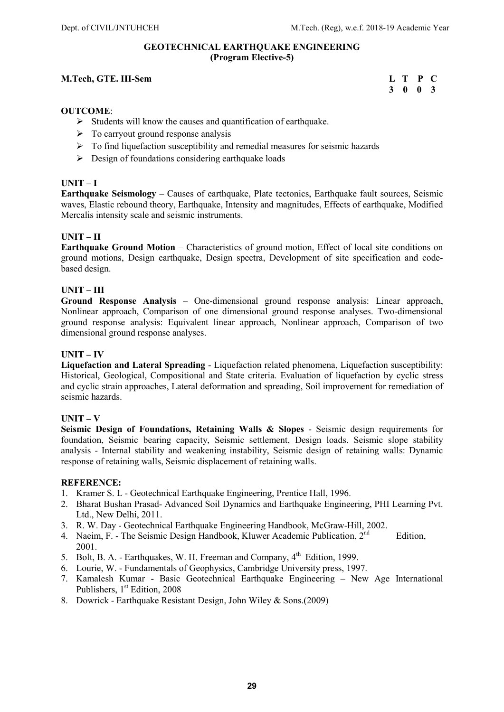### GEOTECHNICAL EARTHQUAKE ENGINEERING (Program Elective-5)

### M.Tech, GTE. III-Sem

| M.Tech, GTE. III-Sem | L T P C |  |
|----------------------|---------|--|
|                      | 3 0 0 3 |  |

### OUTCOME:

- $\triangleright$  Students will know the causes and quantification of earthquake.
- $\triangleright$  To carryout ground response analysis
- $\triangleright$  To find liquefaction susceptibility and remedial measures for seismic hazards
- $\triangleright$  Design of foundations considering earthquake loads

### UNIT – I

Earthquake Seismology – Causes of earthquake, Plate tectonics, Earthquake fault sources, Seismic waves, Elastic rebound theory, Earthquake, Intensity and magnitudes, Effects of earthquake, Modified Mercalis intensity scale and seismic instruments.

### UNIT – II

Earthquake Ground Motion – Characteristics of ground motion, Effect of local site conditions on ground motions, Design earthquake, Design spectra, Development of site specification and codebased design.

### UNIT – III

Ground Response Analysis – One-dimensional ground response analysis: Linear approach, Nonlinear approach, Comparison of one dimensional ground response analyses. Two-dimensional ground response analysis: Equivalent linear approach, Nonlinear approach, Comparison of two dimensional ground response analyses.

### UNIT – IV

Liquefaction and Lateral Spreading - Liquefaction related phenomena, Liquefaction susceptibility: Historical, Geological, Compositional and State criteria. Evaluation of liquefaction by cyclic stress and cyclic strain approaches, Lateral deformation and spreading, Soil improvement for remediation of seismic hazards.

### UNIT – V

Seismic Design of Foundations, Retaining Walls & Slopes - Seismic design requirements for foundation, Seismic bearing capacity, Seismic settlement, Design loads. Seismic slope stability analysis - Internal stability and weakening instability, Seismic design of retaining walls: Dynamic response of retaining walls, Seismic displacement of retaining walls.

- 1. Kramer S. L Geotechnical Earthquake Engineering, Prentice Hall, 1996.
- 2. Bharat Bushan Prasad- Advanced Soil Dynamics and Earthquake Engineering, PHI Learning Pvt. Ltd., New Delhi, 2011.
- 3. R. W. Day Geotechnical Earthquake Engineering Handbook, McGraw-Hill, 2002.
- 4. Naeim, F. The Seismic Design Handbook, Kluwer Academic Publication,  $2^{nd}$  Edition, 2001.
- 5. Bolt, B. A. Earthquakes, W. H. Freeman and Company, 4<sup>th</sup> Edition, 1999.
- 6. Lourie, W. Fundamentals of Geophysics, Cambridge University press, 1997.
- 7. Kamalesh Kumar Basic Geotechnical Earthquake Engineering New Age International Publishers, 1<sup>st</sup> Edition, 2008
- 8. Dowrick Earthquake Resistant Design, John Wiley & Sons.(2009)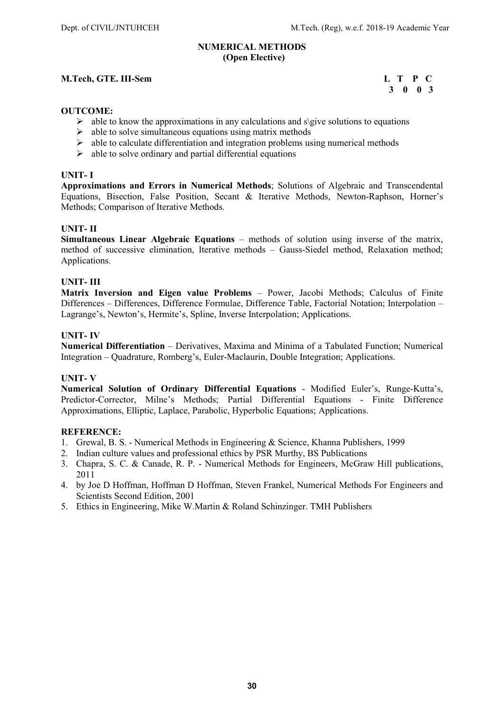### NUMERICAL METHODS (Open Elective)

### M.Tech, GTE. III-Sem L T P C

## 3 0 0 3

### OUTCOME:

- $\triangleright$  able to know the approximations in any calculations and s\give solutions to equations
- $\triangleright$  able to solve simultaneous equations using matrix methods
- $\triangleright$  able to calculate differentiation and integration problems using numerical methods
- $\triangleright$  able to solve ordinary and partial differential equations

### UNIT- I

Approximations and Errors in Numerical Methods; Solutions of Algebraic and Transcendental Equations, Bisection, False Position, Secant & Iterative Methods, Newton-Raphson, Horner's Methods; Comparison of Iterative Methods.

### UNIT- II

Simultaneous Linear Algebraic Equations – methods of solution using inverse of the matrix, method of successive elimination, Iterative methods – Gauss-Siedel method, Relaxation method; Applications.

### UNIT- III

Matrix Inversion and Eigen value Problems – Power, Jacobi Methods; Calculus of Finite Differences – Differences, Difference Formulae, Difference Table, Factorial Notation; Interpolation – Lagrange's, Newton's, Hermite's, Spline, Inverse Interpolation; Applications.

### UNIT- IV

Numerical Differentiation – Derivatives, Maxima and Minima of a Tabulated Function; Numerical Integration – Quadrature, Romberg's, Euler-Maclaurin, Double Integration; Applications.

### UNIT- V

Numerical Solution of Ordinary Differential Equations - Modified Euler's, Runge-Kutta's, Predictor-Corrector, Milne's Methods; Partial Differential Equations - Finite Difference Approximations, Elliptic, Laplace, Parabolic, Hyperbolic Equations; Applications.

- 1. Grewal, B. S. Numerical Methods in Engineering & Science, Khanna Publishers, 1999
- 2. Indian culture values and professional ethics by PSR Murthy, BS Publications
- 3. Chapra, S. C. & Canade, R. P. Numerical Methods for Engineers, McGraw Hill publications, 2011
- 4. by Joe D Hoffman, Hoffman D Hoffman, Steven Frankel, Numerical Methods For Engineers and Scientists Second Edition, 2001
- 5. Ethics in Engineering, Mike W.Martin & Roland Schinzinger. TMH Publishers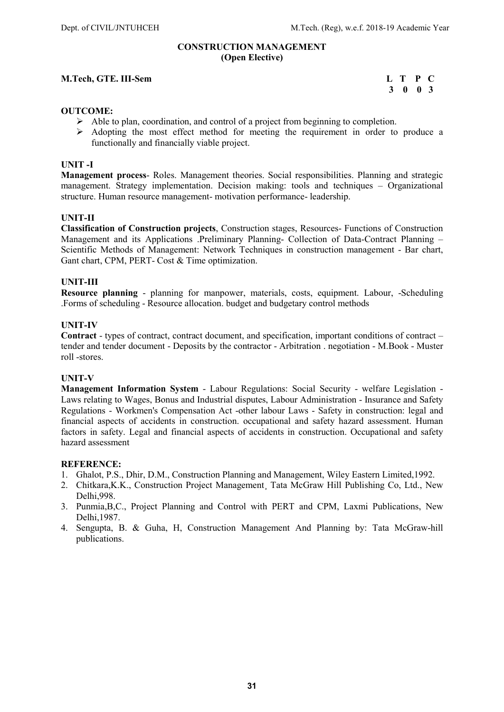### CONSTRUCTION MANAGEMENT (Open Elective)

### M.Tech, GTE. III-Sem L T P C

### 3 0 0 3

### OUTCOME:

- $\triangleright$  Able to plan, coordination, and control of a project from beginning to completion.
- Adopting the most effect method for meeting the requirement in order to produce a functionally and financially viable project.

### UNIT -I

Management process- Roles. Management theories. Social responsibilities. Planning and strategic management. Strategy implementation. Decision making: tools and techniques – Organizational structure. Human resource management- motivation performance- leadership.

### UNIT-II

Classification of Construction projects, Construction stages, Resources- Functions of Construction Management and its Applications .Preliminary Planning- Collection of Data-Contract Planning – Scientific Methods of Management: Network Techniques in construction management - Bar chart, Gant chart, CPM, PERT- Cost & Time optimization.

### UNIT-III

Resource planning - planning for manpower, materials, costs, equipment. Labour, -Scheduling .Forms of scheduling - Resource allocation. budget and budgetary control methods

### UNIT-IV

Contract - types of contract, contract document, and specification, important conditions of contract – tender and tender document - Deposits by the contractor - Arbitration . negotiation - M.Book - Muster roll -stores.

### UNIT-V

Management Information System - Labour Regulations: Social Security - welfare Legislation - Laws relating to Wages, Bonus and Industrial disputes, Labour Administration - Insurance and Safety Regulations - Workmen's Compensation Act -other labour Laws - Safety in construction: legal and financial aspects of accidents in construction. occupational and safety hazard assessment. Human factors in safety. Legal and financial aspects of accidents in construction. Occupational and safety hazard assessment

- 1. Ghalot, P.S., Dhir, D.M., Construction Planning and Management, Wiley Eastern Limited,1992.
- 2. Chitkara,K.K., Construction Project Management¸ Tata McGraw Hill Publishing Co, Ltd., New Delhi,998.
- 3. Punmia,B,C., Project Planning and Control with PERT and CPM, Laxmi Publications, New Delhi,1987.
- 4. Sengupta, B. & Guha, H, Construction Management And Planning by: Tata McGraw-hill publications.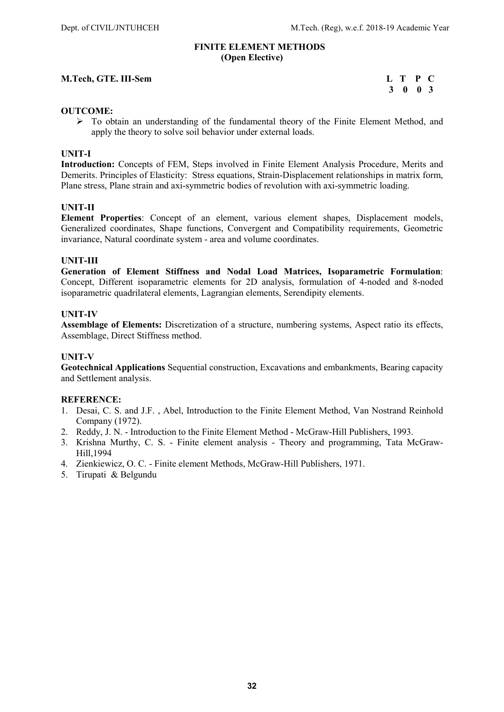### FINITE ELEMENT METHODS (Open Elective)

### M.Tech, GTE. III-Sem

| M.Tech, GTE. III-Sem | L T P C |         |  |
|----------------------|---------|---------|--|
|                      |         | 3 0 0 3 |  |

### OUTCOME:

 To obtain an understanding of the fundamental theory of the Finite Element Method, and apply the theory to solve soil behavior under external loads.

### UNIT-I

Introduction: Concepts of FEM, Steps involved in Finite Element Analysis Procedure, Merits and Demerits. Principles of Elasticity: Stress equations, Strain-Displacement relationships in matrix form, Plane stress, Plane strain and axi-symmetric bodies of revolution with axi-symmetric loading.

### UNIT-II

Element Properties: Concept of an element, various element shapes, Displacement models, Generalized coordinates, Shape functions, Convergent and Compatibility requirements, Geometric invariance, Natural coordinate system - area and volume coordinates.

### UNIT-III

Generation of Element Stiffness and Nodal Load Matrices, Isoparametric Formulation: Concept, Different isoparametric elements for 2D analysis, formulation of 4-noded and 8-noded isoparametric quadrilateral elements, Lagrangian elements, Serendipity elements.

### UNIT-IV

Assemblage of Elements: Discretization of a structure, numbering systems, Aspect ratio its effects, Assemblage, Direct Stiffness method.

### UNIT-V

Geotechnical Applications Sequential construction, Excavations and embankments, Bearing capacity and Settlement analysis.

- 1. Desai, C. S. and J.F. , Abel, Introduction to the Finite Element Method, Van Nostrand Reinhold Company (1972).
- 2. Reddy, J. N. Introduction to the Finite Element Method McGraw-Hill Publishers, 1993.
- 3. Krishna Murthy, C. S. Finite element analysis Theory and programming, Tata McGraw-Hill,1994
- 4. Zienkiewicz, O. C. Finite element Methods, McGraw-Hill Publishers, 1971.
- 5. Tirupati & Belgundu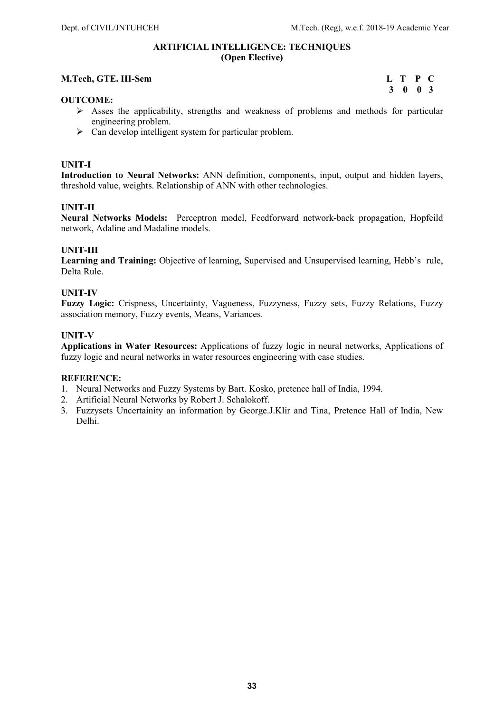### ARTIFICIAL INTELLIGENCE: TECHNIQUES (Open Elective)

### M.Tech, GTE. III-Sem L T P C

# 3 0 0 3

### OUTCOME:

- $\triangleright$  Asses the applicability, strengths and weakness of problems and methods for particular engineering problem.
- $\triangleright$  Can develop intelligent system for particular problem.

### UNIT-I

Introduction to Neural Networks: ANN definition, components, input, output and hidden layers, threshold value, weights. Relationship of ANN with other technologies.

### UNIT-II

Neural Networks Models: Perceptron model, Feedforward network-back propagation, Hopfeild network, Adaline and Madaline models.

### UNIT-III

Learning and Training: Objective of learning, Supervised and Unsupervised learning, Hebb's rule, Delta Rule.

### UNIT-IV

Fuzzy Logic: Crispness, Uncertainty, Vagueness, Fuzzyness, Fuzzy sets, Fuzzy Relations, Fuzzy association memory, Fuzzy events, Means, Variances.

### UNIT-V

Applications in Water Resources: Applications of fuzzy logic in neural networks, Applications of fuzzy logic and neural networks in water resources engineering with case studies.

- 1. Neural Networks and Fuzzy Systems by Bart. Kosko, pretence hall of India, 1994.
- 2. Artificial Neural Networks by Robert J. Schalokoff.
- 3. Fuzzysets Uncertainity an information by George.J.Klir and Tina, Pretence Hall of India, New Delhi.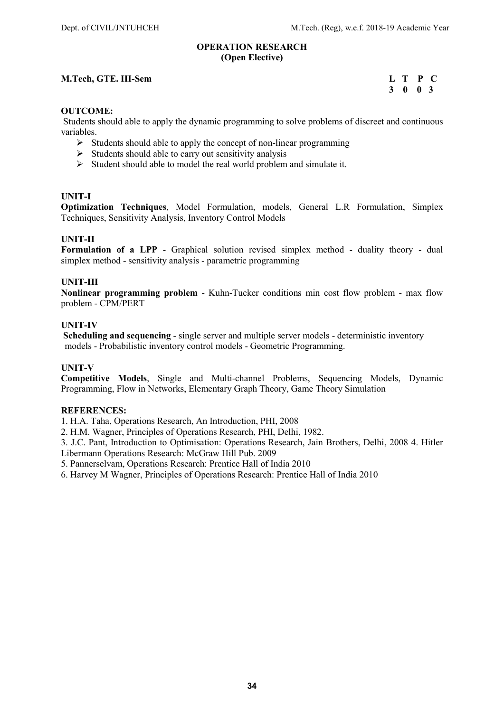### OPERATION RESEARCH (Open Elective)

### M.Tech, GTE. III-Sem L T P C 3 0 0 3

## 3 0 0 3

### OUTCOME:

Students should able to apply the dynamic programming to solve problems of discreet and continuous variables.

- $\triangleright$  Students should able to apply the concept of non-linear programming
- $\triangleright$  Students should able to carry out sensitivity analysis
- $\triangleright$  Student should able to model the real world problem and simulate it.

### UNIT-I

Optimization Techniques, Model Formulation, models, General L.R Formulation, Simplex Techniques, Sensitivity Analysis, Inventory Control Models

### UNIT-II

Formulation of a LPP - Graphical solution revised simplex method - duality theory - dual simplex method - sensitivity analysis - parametric programming

### UNIT-III

Nonlinear programming problem - Kuhn-Tucker conditions min cost flow problem - max flow problem - CPM/PERT

### UNIT-IV

Scheduling and sequencing - single server and multiple server models - deterministic inventory models - Probabilistic inventory control models - Geometric Programming.

### UNIT-V

Competitive Models, Single and Multi-channel Problems, Sequencing Models, Dynamic Programming, Flow in Networks, Elementary Graph Theory, Game Theory Simulation

### REFERENCES:

1. H.A. Taha, Operations Research, An Introduction, PHI, 2008

2. H.M. Wagner, Principles of Operations Research, PHI, Delhi, 1982.

3. J.C. Pant, Introduction to Optimisation: Operations Research, Jain Brothers, Delhi, 2008 4. Hitler Libermann Operations Research: McGraw Hill Pub. 2009

5. Pannerselvam, Operations Research: Prentice Hall of India 2010

6. Harvey M Wagner, Principles of Operations Research: Prentice Hall of India 2010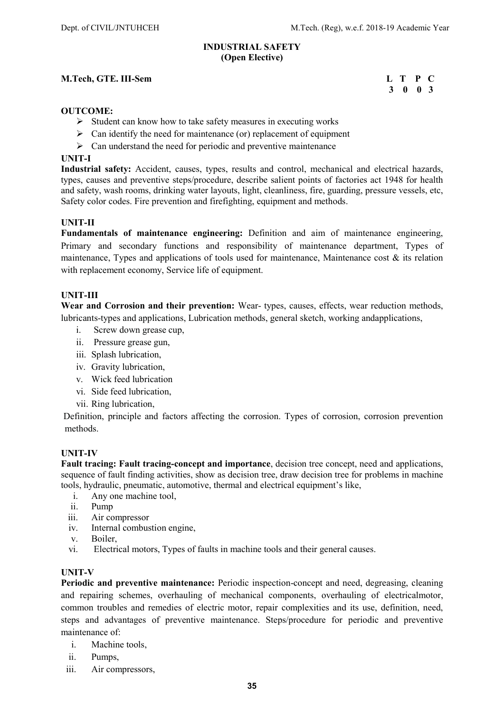### INDUSTRIAL SAFETY (Open Elective)

### M.Tech, GTE. III-Sem L T P C

## 3 0 0 3

### OUTCOME:

- $\triangleright$  Student can know how to take safety measures in executing works
- $\triangleright$  Can identify the need for maintenance (or) replacement of equipment
- $\triangleright$  Can understand the need for periodic and preventive maintenance

### UNIT-I

Industrial safety: Accident, causes, types, results and control, mechanical and electrical hazards, types, causes and preventive steps/procedure, describe salient points of factories act 1948 for health and safety, wash rooms, drinking water layouts, light, cleanliness, fire, guarding, pressure vessels, etc, Safety color codes. Fire prevention and firefighting, equipment and methods.

### UNIT-II

Fundamentals of maintenance engineering: Definition and aim of maintenance engineering, Primary and secondary functions and responsibility of maintenance department, Types of maintenance, Types and applications of tools used for maintenance, Maintenance cost  $\&$  its relation with replacement economy, Service life of equipment.

### UNIT-III

Wear and Corrosion and their prevention: Wear-types, causes, effects, wear reduction methods, lubricants-types and applications, Lubrication methods, general sketch, working andapplications,

- i. Screw down grease cup,
- ii. Pressure grease gun,
- iii. Splash lubrication,
- iv. Gravity lubrication,
- v. Wick feed lubrication
- vi. Side feed lubrication,
- vii. Ring lubrication,

 Definition, principle and factors affecting the corrosion. Types of corrosion, corrosion prevention methods.

### UNIT-IV

Fault tracing: Fault tracing-concept and importance, decision tree concept, need and applications, sequence of fault finding activities, show as decision tree, draw decision tree for problems in machine tools, hydraulic, pneumatic, automotive, thermal and electrical equipment's like,

- i. Any one machine tool,
- ii. Pump
- iii. Air compressor
- iv. Internal combustion engine,
- v. Boiler,
- vi. Electrical motors, Types of faults in machine tools and their general causes.

### UNIT-V

Periodic and preventive maintenance: Periodic inspection-concept and need, degreasing, cleaning and repairing schemes, overhauling of mechanical components, overhauling of electricalmotor, common troubles and remedies of electric motor, repair complexities and its use, definition, need, steps and advantages of preventive maintenance. Steps/procedure for periodic and preventive maintenance of:

- i. Machine tools,
- ii. Pumps,
- iii. Air compressors,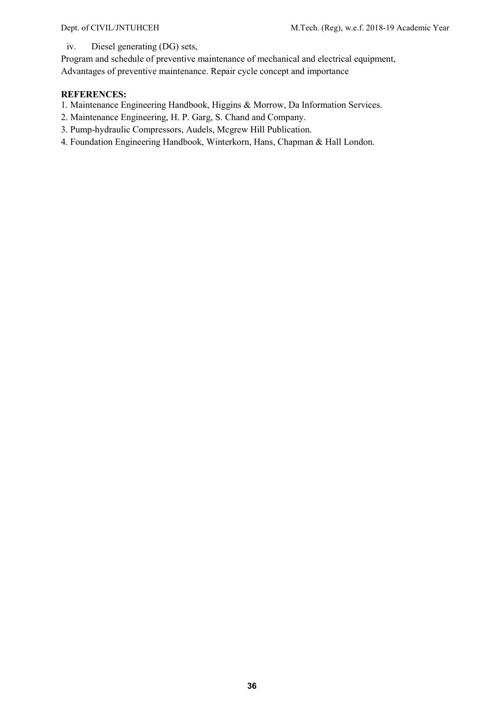iv. Diesel generating (DG) sets,

Program and schedule of preventive maintenance of mechanical and electrical equipment, Advantages of preventive maintenance. Repair cycle concept and importance

- 1. Maintenance Engineering Handbook, Higgins & Morrow, Da Information Services.
- 2. Maintenance Engineering, H. P. Garg, S. Chand and Company.
- 3. Pump-hydraulic Compressors, Audels, Mcgrew Hill Publication.
- 4. Foundation Engineering Handbook, Winterkorn, Hans, Chapman & Hall London.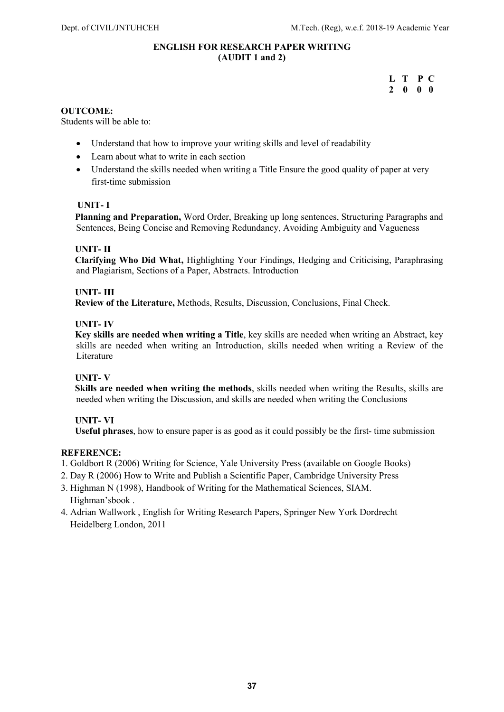### ENGLISH FOR RESEARCH PAPER WRITING (AUDIT 1 and 2)

 L T P C 2 0 0 0

### OUTCOME:

Students will be able to:

- Understand that how to improve your writing skills and level of readability
- Learn about what to write in each section
- Understand the skills needed when writing a Title Ensure the good quality of paper at very first-time submission

### UNIT- I

 Planning and Preparation, Word Order, Breaking up long sentences, Structuring Paragraphs and Sentences, Being Concise and Removing Redundancy, Avoiding Ambiguity and Vagueness

### UNIT- II

 Clarifying Who Did What, Highlighting Your Findings, Hedging and Criticising, Paraphrasing and Plagiarism, Sections of a Paper, Abstracts. Introduction

### UNIT- III

Review of the Literature, Methods, Results, Discussion, Conclusions, Final Check.

### UNIT- IV

 Key skills are needed when writing a Title, key skills are needed when writing an Abstract, key skills are needed when writing an Introduction, skills needed when writing a Review of the Literature

### UNIT- V

 Skills are needed when writing the methods, skills needed when writing the Results, skills are needed when writing the Discussion, and skills are needed when writing the Conclusions

### UNIT- VI

Useful phrases, how to ensure paper is as good as it could possibly be the first- time submission

- 1. Goldbort R (2006) Writing for Science, Yale University Press (available on Google Books)
- 2. Day R (2006) How to Write and Publish a Scientific Paper, Cambridge University Press
- 3. Highman N (1998), Handbook of Writing for the Mathematical Sciences, SIAM. Highman'sbook .
- 4. Adrian Wallwork , English for Writing Research Papers, Springer New York Dordrecht Heidelberg London, 2011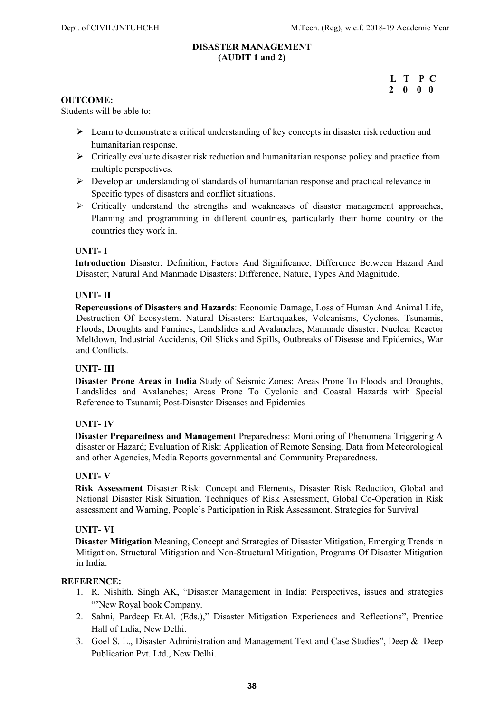### DISASTER MANAGEMENT (AUDIT 1 and 2)

|  | L T P C                  |  |  |
|--|--------------------------|--|--|
|  | $2\quad 0\quad 0\quad 0$ |  |  |

### OUTCOME:

Students will be able to:

- $\triangleright$  Learn to demonstrate a critical understanding of key concepts in disaster risk reduction and humanitarian response.
- $\triangleright$  Critically evaluate disaster risk reduction and humanitarian response policy and practice from multiple perspectives.
- $\triangleright$  Develop an understanding of standards of humanitarian response and practical relevance in Specific types of disasters and conflict situations.
- $\triangleright$  Critically understand the strengths and weaknesses of disaster management approaches, Planning and programming in different countries, particularly their home country or the countries they work in.

### UNIT- I

 Introduction Disaster: Definition, Factors And Significance; Difference Between Hazard And Disaster; Natural And Manmade Disasters: Difference, Nature, Types And Magnitude.

### UNIT- II

 Repercussions of Disasters and Hazards: Economic Damage, Loss of Human And Animal Life, Destruction Of Ecosystem. Natural Disasters: Earthquakes, Volcanisms, Cyclones, Tsunamis, Floods, Droughts and Famines, Landslides and Avalanches, Manmade disaster: Nuclear Reactor Meltdown, Industrial Accidents, Oil Slicks and Spills, Outbreaks of Disease and Epidemics, War and Conflicts.

### UNIT- III

 Disaster Prone Areas in India Study of Seismic Zones; Areas Prone To Floods and Droughts, Landslides and Avalanches; Areas Prone To Cyclonic and Coastal Hazards with Special Reference to Tsunami; Post-Disaster Diseases and Epidemics

### UNIT- IV

 Disaster Preparedness and Management Preparedness: Monitoring of Phenomena Triggering A disaster or Hazard; Evaluation of Risk: Application of Remote Sensing, Data from Meteorological and other Agencies, Media Reports governmental and Community Preparedness.

### UNIT- V

 Risk Assessment Disaster Risk: Concept and Elements, Disaster Risk Reduction, Global and National Disaster Risk Situation. Techniques of Risk Assessment, Global Co-Operation in Risk assessment and Warning, People's Participation in Risk Assessment. Strategies for Survival

### UNIT- VI

 Disaster Mitigation Meaning, Concept and Strategies of Disaster Mitigation, Emerging Trends in Mitigation. Structural Mitigation and Non-Structural Mitigation, Programs Of Disaster Mitigation in India.

- 1. R. Nishith, Singh AK, "Disaster Management in India: Perspectives, issues and strategies "'New Royal book Company.
- 2. Sahni, Pardeep Et.Al. (Eds.)," Disaster Mitigation Experiences and Reflections", Prentice Hall of India, New Delhi.
- 3. Goel S. L., Disaster Administration and Management Text and Case Studies", Deep & Deep Publication Pvt. Ltd., New Delhi.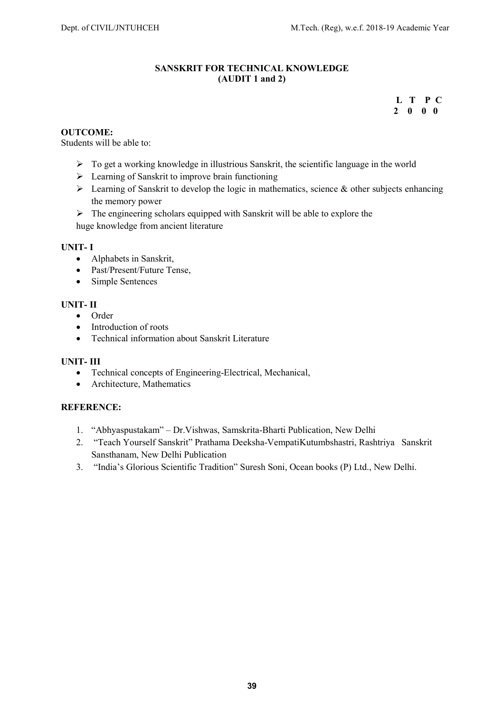### SANSKRIT FOR TECHNICAL KNOWLEDGE (AUDIT 1 and 2)

L T P C 2 0 0 0

### OUTCOME:

Students will be able to:

- $\triangleright$  To get a working knowledge in illustrious Sanskrit, the scientific language in the world
- $\triangleright$  Learning of Sanskrit to improve brain functioning
- $\triangleright$  Learning of Sanskrit to develop the logic in mathematics, science & other subjects enhancing the memory power
- $\triangleright$  The engineering scholars equipped with Sanskrit will be able to explore the huge knowledge from ancient literature

### UNIT- I

- Alphabets in Sanskrit,
- Past/Present/Future Tense,
- Simple Sentences

### UNIT- II

- Order
- Introduction of roots
- Technical information about Sanskrit Literature

### UNIT- III

- Technical concepts of Engineering-Electrical, Mechanical,
- Architecture, Mathematics

- 1. "Abhyaspustakam" Dr.Vishwas, Samskrita-Bharti Publication, New Delhi
- 2. "Teach Yourself Sanskrit" Prathama Deeksha-VempatiKutumbshastri, Rashtriya Sanskrit Sansthanam, New Delhi Publication
- 3. "India's Glorious Scientific Tradition" Suresh Soni, Ocean books (P) Ltd., New Delhi.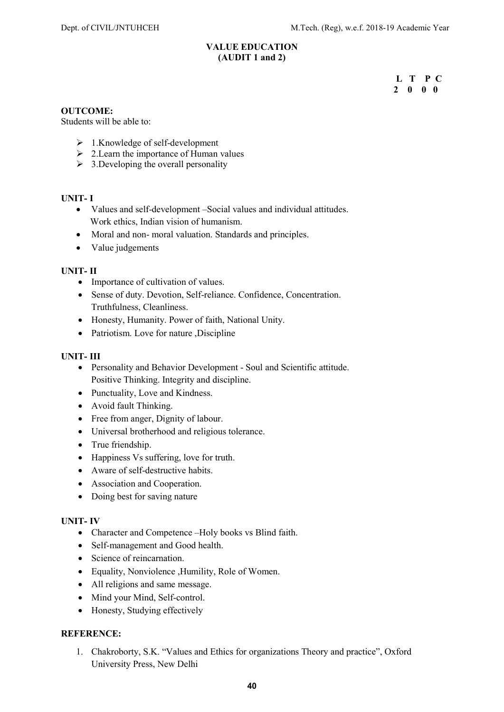### VALUE EDUCATION (AUDIT 1 and 2)

 $L$  T P C<br>2 0 0 0 2 0 0 0

### OUTCOME:

Students will be able to:

- $\geq 1$ .Knowledge of self-development
- $\geq 2$ . Learn the importance of Human values
- $\geq$  3.Developing the overall personality

### UNIT- I

- Values and self-development –Social values and individual attitudes. Work ethics, Indian vision of humanism.
- Moral and non- moral valuation. Standards and principles.
- Value judgements

### UNIT- II

- Importance of cultivation of values.
- Sense of duty. Devotion, Self-reliance. Confidence, Concentration. Truthfulness, Cleanliness.
- Honesty, Humanity. Power of faith, National Unity.
- Patriotism. Love for nature ,Discipline

### UNIT- III

- Personality and Behavior Development Soul and Scientific attitude. Positive Thinking. Integrity and discipline.
- Punctuality, Love and Kindness.
- Avoid fault Thinking.
- Free from anger, Dignity of labour.
- Universal brotherhood and religious tolerance.
- True friendship.
- Happiness Vs suffering, love for truth.
- Aware of self-destructive habits.
- Association and Cooperation.
- Doing best for saving nature

### UNIT- IV

- Character and Competence –Holy books vs Blind faith.
- Self-management and Good health.
- Science of reincarnation.
- Equality, Nonviolence ,Humility, Role of Women.
- All religions and same message.
- Mind your Mind, Self-control.
- Honesty, Studying effectively

### REFERENCE:

1. Chakroborty, S.K. "Values and Ethics for organizations Theory and practice", Oxford University Press, New Delhi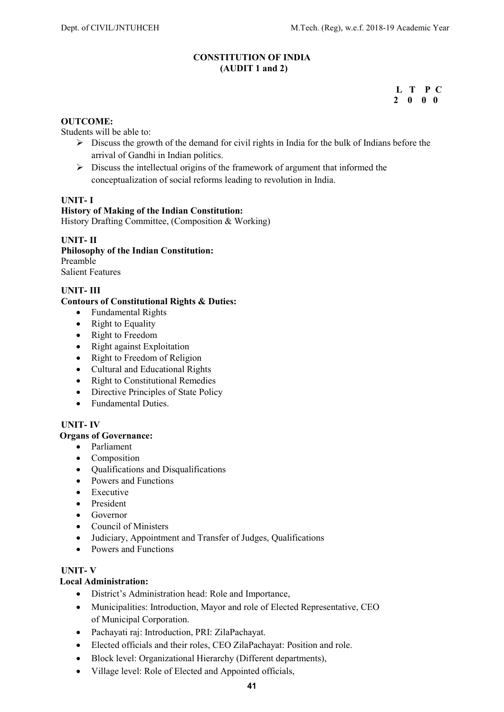### CONSTITUTION OF INDIA (AUDIT 1 and 2)

### $L$  T P C<br>2 0 0 0 2 0 0 0

### OUTCOME:

Students will be able to:

- $\triangleright$  Discuss the growth of the demand for civil rights in India for the bulk of Indians before the arrival of Gandhi in Indian politics.
- $\triangleright$  Discuss the intellectual origins of the framework of argument that informed the conceptualization of social reforms leading to revolution in India.

### UNIT- I

### History of Making of the Indian Constitution:

History Drafting Committee, (Composition & Working)

### UNIT- II

Philosophy of the Indian Constitution: Preamble

Salient Features

### UNIT- III

### Contours of Constitutional Rights & Duties:

- Fundamental Rights
- $\bullet$  Right to Equality
- Right to Freedom
- Right against Exploitation
- Right to Freedom of Religion
- Cultural and Educational Rights
- Right to Constitutional Remedies
- Directive Principles of State Policy
- Fundamental Duties.

### UNIT- IV

### Organs of Governance:

- Parliament
- Composition
- Oualifications and Disqualifications
- Powers and Functions
- Executive
- President
- Governor
- Council of Ministers
- Judiciary, Appointment and Transfer of Judges, Qualifications
- Powers and Functions

### UNIT- V

### Local Administration:

- District's Administration head: Role and Importance,
- Municipalities: Introduction, Mayor and role of Elected Representative, CEO of Municipal Corporation.
- Pachayati raj: Introduction, PRI: ZilaPachayat.
- Elected officials and their roles, CEO ZilaPachayat: Position and role.
- Block level: Organizational Hierarchy (Different departments),
- Village level: Role of Elected and Appointed officials,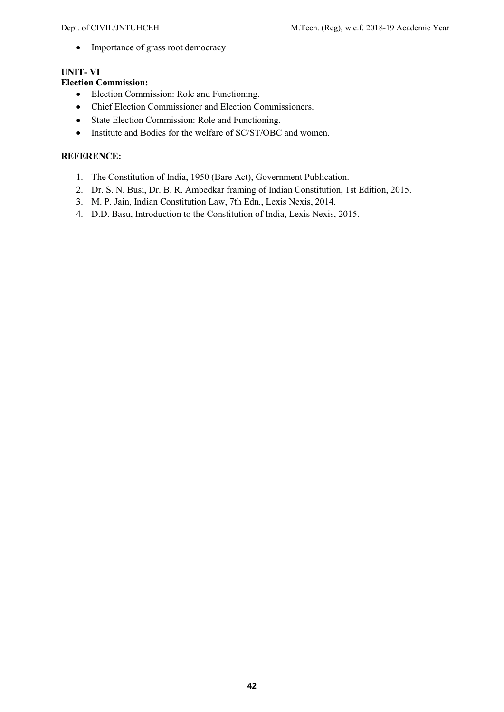• Importance of grass root democracy

### UNIT- VI

### Election Commission:

- Election Commission: Role and Functioning.
- Chief Election Commissioner and Election Commissioners.
- State Election Commission: Role and Functioning.
- Institute and Bodies for the welfare of SC/ST/OBC and women.

- 1. The Constitution of India, 1950 (Bare Act), Government Publication.
- 2. Dr. S. N. Busi, Dr. B. R. Ambedkar framing of Indian Constitution, 1st Edition, 2015.
- 3. M. P. Jain, Indian Constitution Law, 7th Edn., Lexis Nexis, 2014.
- 4. D.D. Basu, Introduction to the Constitution of India, Lexis Nexis, 2015.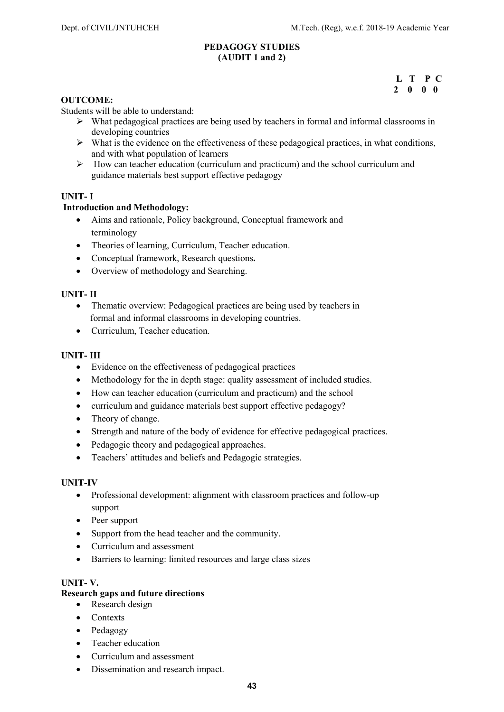### PEDAGOGY STUDIES (AUDIT 1 and 2)

### L T P C 2 0 0 0

### OUTCOME:

Students will be able to understand:

- $\triangleright$  What pedagogical practices are being used by teachers in formal and informal classrooms in developing countries
- $\triangleright$  What is the evidence on the effectiveness of these pedagogical practices, in what conditions, and with what population of learners
- $\triangleright$  How can teacher education (curriculum and practicum) and the school curriculum and guidance materials best support effective pedagogy

### UNIT- I

### Introduction and Methodology:

- Aims and rationale, Policy background, Conceptual framework and terminology
- Theories of learning, Curriculum, Teacher education.
- Conceptual framework, Research questions.
- Overview of methodology and Searching.

### UNIT- II

- Thematic overview: Pedagogical practices are being used by teachers in formal and informal classrooms in developing countries.
- Curriculum, Teacher education.

### UNIT- III

- Evidence on the effectiveness of pedagogical practices
- Methodology for the in depth stage: quality assessment of included studies.
- How can teacher education (curriculum and practicum) and the school
- curriculum and guidance materials best support effective pedagogy?
- Theory of change.
- Strength and nature of the body of evidence for effective pedagogical practices.
- Pedagogic theory and pedagogical approaches.
- Teachers' attitudes and beliefs and Pedagogic strategies.

### UNIT-IV

- Professional development: alignment with classroom practices and follow-up support
- Peer support
- Support from the head teacher and the community.
- Curriculum and assessment
- Barriers to learning: limited resources and large class sizes

### UNIT- V.

### Research gaps and future directions

- Research design
- Contexts
- Pedagogy
- Teacher education
- Curriculum and assessment
- Dissemination and research impact.